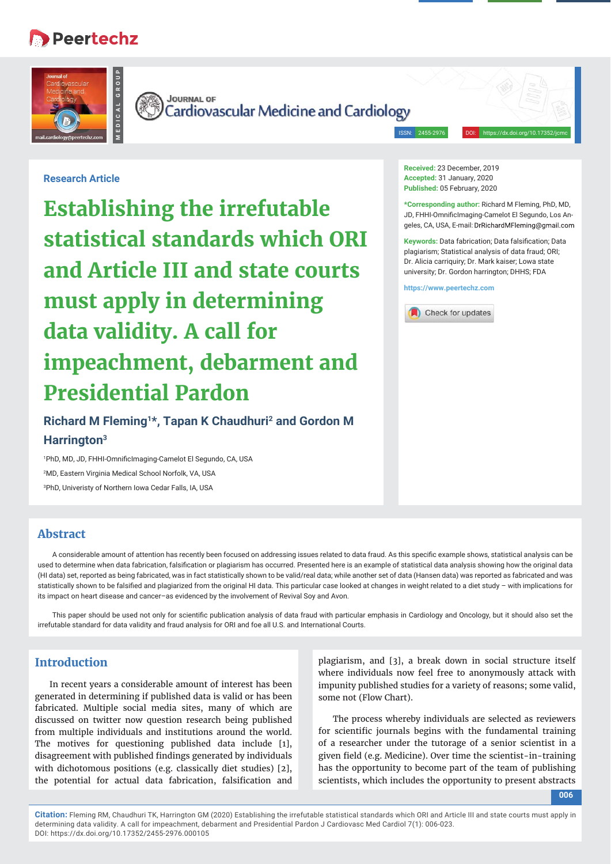# **Peertechz**





Cardiovascular Medicine and Cardiology

**Received:** 23 December, 2019 **Accepted:** 31 January, 2020 **Published:** 05 February, 2020

**https://www.peertechz.com**

Check for updates

ISSN: 2455-2976 DOI: https://dx.doi.org/10.17352/jcmc

**\*Corresponding author:** Richard M Fleming, PhD, MD, JD, FHHI-OmnificImaging-Camelot El Segundo, Los Angeles, CA, USA, E-mail: DrRichardMFleming@gmail.com **Keywords:** Data fabrication; Data falsification; Data plagiarism; Statistical analysis of data fraud; ORI; Dr. Alicia carriquiry; Dr. Mark kaiser; Lowa state university; Dr. Gordon harrington; DHHS; FDA

# **Research Article**

**Establishing the irrefutable statistical standards which ORI and Article III and state courts must apply in determining data validity. A call for impeachment, debarment and Presidential Pardon**

# **Richard M Fleming1\*, Tapan K Chaudhuri2 and Gordon M Harrington3**

<sup>1</sup>PhD, MD, JD, FHHI-OmnificImaging-Camelot El Segundo, CA, USA 2 MD, Eastern Virginia Medical School Norfolk, VA, USA 3 PhD, Univeristy of Northern Iowa Cedar Falls, IA, USA

# **Abstract**

A considerable amount of attention has recently been focused on addressing issues related to data fraud. As this specific example shows, statistical analysis can be used to determine when data fabrication, falsification or plagiarism has occurred. Presented here is an example of statistical data analysis showing how the original data (HI data) set, reported as being fabricated, was in fact statistically shown to be valid/real data; while another set of data (Hansen data) was reported as fabricated and was statistically shown to be falsified and plagiarized from the original HI data. This particular case looked at changes in weight related to a diet study - with implications for its impact on heart disease and cancer–as evidenced by the involvement of Revival Soy and Avon.

This paper should be used not only for scientific publication analysis of data fraud with particular emphasis in Cardiology and Oncology, but it should also set the irrefutable standard for data validity and fraud analysis for ORI and foe all U.S. and International Courts.

# **Introduction**

In recent years a considerable amount of interest has been generated in determining if published data is valid or has been fabricated. Multiple social media sites, many of which are discussed on twitter now question research being published from multiple individuals and institutions around the world. The motives for questioning published data include [1], disagreement with published findings generated by individuals with dichotomous positions (e.g. classically diet studies) [2], the potential for actual data fabrication, falsification and

plagiarism, and [3], a break down in social structure itself where individuals now feel free to anonymously attack with impunity published studies for a variety of reasons; some valid, some not (Flow Chart).

The process whereby individuals are selected as reviewers for scientific journals begins with the fundamental training of a researcher under the tutorage of a senior scientist in a given field (e.g. Medicine). Over time the scientist-in-training has the opportunity to become part of the team of publishing scientists, which includes the opportunity to present abstracts

**006**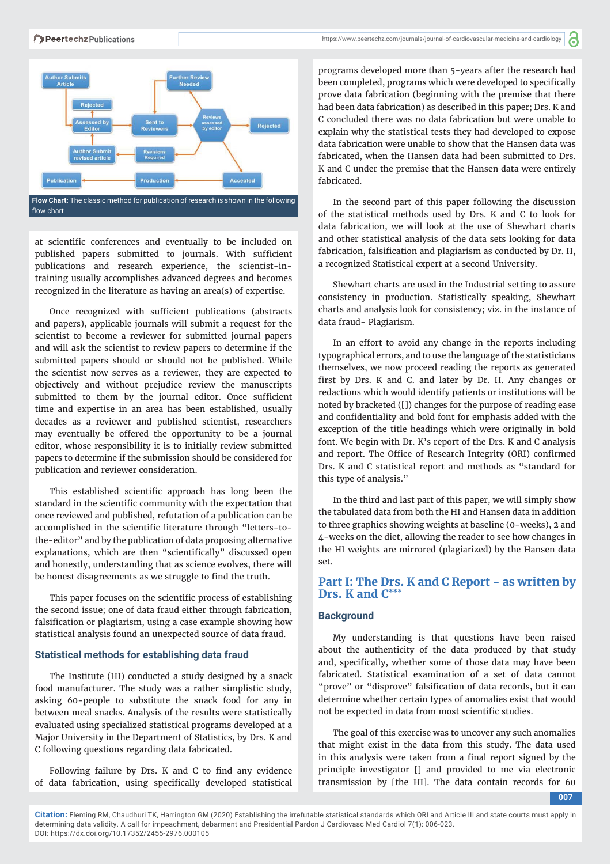

at scientific conferences and eventually to be included on published papers submitted to journals. With sufficient publications and research experience, the scientist-intraining usually accomplishes advanced degrees and becomes recognized in the literature as having an area(s) of expertise.

Once recognized with sufficient publications (abstracts and papers), applicable journals will submit a request for the scientist to become a reviewer for submitted journal papers and will ask the scientist to review papers to determine if the submitted papers should or should not be published. While the scientist now serves as a reviewer, they are expected to objectively and without prejudice review the manuscripts submitted to them by the journal editor. Once sufficient time and expertise in an area has been established, usually decades as a reviewer and published scientist, researchers may eventually be offered the opportunity to be a journal editor, whose responsibility it is to initially review submitted papers to determine if the submission should be considered for publication and reviewer consideration.

This established scientific approach has long been the standard in the scientific community with the expectation that once reviewed and published, refutation of a publication can be accomplished in the scientific literature through "letters-tothe-editor" and by the publication of data proposing alternative explanations, which are then "scientifically" discussed open and honestly, understanding that as science evolves, there will be honest disagreements as we struggle to find the truth.

This paper focuses on the scientific process of establishing the second issue; one of data fraud either through fabrication, falsification or plagiarism, using a case example showing how statistical analysis found an unexpected source of data fraud.

#### **Statistical methods for establishing data fraud**

The Institute (HI) conducted a study designed by a snack food manufacturer. The study was a rather simplistic study, asking 60-people to substitute the snack food for any in between meal snacks. Analysis of the results were statistically evaluated using specialized statistical programs developed at a Major University in the Department of Statistics, by Drs. K and C following questions regarding data fabricated.

Following failure by Drs. K and C to find any evidence of data fabrication, using specifically developed statistical **d** 

programs developed more than 5-years after the research had been completed, programs which were developed to specifically prove data fabrication (beginning with the premise that there had been data fabrication) as described in this paper; Drs. K and C concluded there was no data fabrication but were unable to explain why the statistical tests they had developed to expose data fabrication were unable to show that the Hansen data was fabricated, when the Hansen data had been submitted to Drs. K and C under the premise that the Hansen data were entirely fabricated.

In the second part of this paper following the discussion of the statistical methods used by Drs. K and C to look for data fabrication, we will look at the use of Shewhart charts and other statistical analysis of the data sets looking for data fabrication, falsification and plagiarism as conducted by Dr. H, a recognized Statistical expert at a second University.

Shewhart charts are used in the Industrial setting to assure consistency in production. Statistically speaking, Shewhart charts and analysis look for consistency; viz. in the instance of data fraud- Plagiarism.

In an effort to avoid any change in the reports including typographical errors, and to use the language of the statisticians themselves, we now proceed reading the reports as generated first by Drs. K and C. and later by Dr. H. Any changes or redactions which would identify patients or institutions will be noted by bracketed ([]) changes for the purpose of reading ease and confidentiality and bold font for emphasis added with the exception of the title headings which were originally in bold font. We begin with Dr. K's report of the Drs. K and C analysis and report. The Office of Research Integrity (ORI) confirmed Drs. K and C statistical report and methods as "standard for this type of analysis."

In the third and last part of this paper, we will simply show the tabulated data from both the HI and Hansen data in addition to three graphics showing weights at baseline (0-weeks), 2 and 4-weeks on the diet, allowing the reader to see how changes in the HI weights are mirrored (plagiarized) by the Hansen data set.

# **Part I: The Drs. K and C Report - as written by Drs. K and C\*\***

#### **Background**

My understanding is that questions have been raised about the authenticity of the data produced by that study and, specifically, whether some of those data may have been fabricated. Statistical examination of a set of data cannot "prove" or "disprove" falsification of data records, but it can determine whether certain types of anomalies exist that would not be expected in data from most scientific studies.

The goal of this exercise was to uncover any such anomalies that might exist in the data from this study. The data used in this analysis were taken from a final report signed by the principle investigator [] and provided to me via electronic transmission by [the HI]. The data contain records for 60

**007**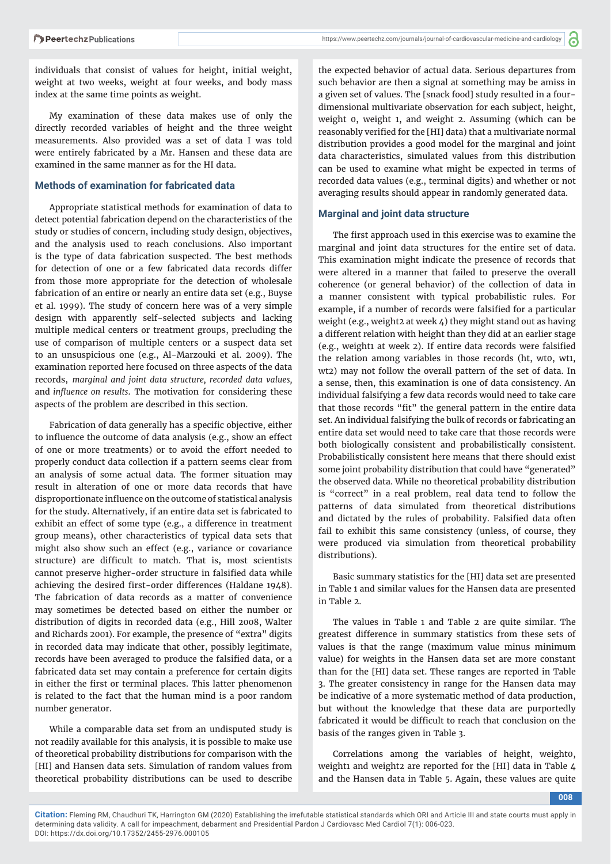individuals that consist of values for height, initial weight, weight at two weeks, weight at four weeks, and body mass index at the same time points as weight.

My examination of these data makes use of only the directly recorded variables of height and the three weight measurements. Also provided was a set of data I was told were entirely fabricated by a Mr. Hansen and these data are examined in the same manner as for the HI data.

#### **Methods of examination for fabricated data**

Appropriate statistical methods for examination of data to detect potential fabrication depend on the characteristics of the study or studies of concern, including study design, objectives, and the analysis used to reach conclusions. Also important is the type of data fabrication suspected. The best methods for detection of one or a few fabricated data records differ from those more appropriate for the detection of wholesale fabrication of an entire or nearly an entire data set (e.g., Buyse et al. 1999). The study of concern here was of a very simple design with apparently self-selected subjects and lacking multiple medical centers or treatment groups, precluding the use of comparison of multiple centers or a suspect data set to an unsuspicious one (e.g., Al-Marzouki et al. 2009). The examination reported here focused on three aspects of the data records, *marginal and joint data structure, recorded data values,*  and *influence on results*. The motivation for considering these aspects of the problem are described in this section.

Fabrication of data generally has a specific objective, either to influence the outcome of data analysis (e.g., show an effect of one or more treatments) or to avoid the effort needed to properly conduct data collection if a pattern seems clear from an analysis of some actual data. The former situation may result in alteration of one or more data records that have disproportionate influence on the outcome of statistical analysis for the study. Alternatively, if an entire data set is fabricated to exhibit an effect of some type (e.g., a difference in treatment group means), other characteristics of typical data sets that might also show such an effect (e.g., variance or covariance structure) are difficult to match. That is, most scientists cannot preserve higher-order structure in falsified data while achieving the desired first-order differences (Haldane 1948). The fabrication of data records as a matter of convenience may sometimes be detected based on either the number or distribution of digits in recorded data (e.g., Hill 2008, Walter and Richards 2001). For example, the presence of "extra" digits in recorded data may indicate that other, possibly legitimate, records have been averaged to produce the falsified data, or a fabricated data set may contain a preference for certain digits in either the first or terminal places. This latter phenomenon is related to the fact that the human mind is a poor random number generator.

While a comparable data set from an undisputed study is not readily available for this analysis, it is possible to make use of theoretical probability distributions for comparison with the [HI] and Hansen data sets. Simulation of random values from theoretical probability distributions can be used to describe

the expected behavior of actual data. Serious departures from such behavior are then a signal at something may be amiss in a given set of values. The [snack food] study resulted in a fourdimensional multivariate observation for each subject, height, weight 0, weight 1, and weight 2. Assuming (which can be reasonably verified for the [HI] data) that a multivariate normal distribution provides a good model for the marginal and joint data characteristics, simulated values from this distribution can be used to examine what might be expected in terms of recorded data values (e.g., terminal digits) and whether or not averaging results should appear in randomly generated data.

#### **Marginal and joint data structure**

The first approach used in this exercise was to examine the marginal and joint data structures for the entire set of data. This examination might indicate the presence of records that were altered in a manner that failed to preserve the overall coherence (or general behavior) of the collection of data in a manner consistent with typical probabilistic rules. For example, if a number of records were falsified for a particular weight (e.g., weight2 at week 4) they might stand out as having a different relation with height than they did at an earlier stage (e.g., weight1 at week 2). If entire data records were falsified the relation among variables in those records (ht, wt0, wt1, wt2) may not follow the overall pattern of the set of data. In a sense, then, this examination is one of data consistency. An individual falsifying a few data records would need to take care that those records "fit" the general pattern in the entire data set. An individual falsifying the bulk of records or fabricating an entire data set would need to take care that those records were both biologically consistent and probabilistically consistent. Probabilistically consistent here means that there should exist some joint probability distribution that could have "generated" the observed data. While no theoretical probability distribution is "correct" in a real problem, real data tend to follow the patterns of data simulated from theoretical distributions and dictated by the rules of probability. Falsified data often fail to exhibit this same consistency (unless, of course, they were produced via simulation from theoretical probability distributions).

Basic summary statistics for the [HI] data set are presented in Table 1 and similar values for the Hansen data are presented in Table 2.

The values in Table 1 and Table 2 are quite similar. The greatest difference in summary statistics from these sets of values is that the range (maximum value minus minimum value) for weights in the Hansen data set are more constant than for the [HI] data set. These ranges are reported in Table 3. The greater consistency in range for the Hansen data may be indicative of a more systematic method of data production, but without the knowledge that these data are purportedly fabricated it would be difficult to reach that conclusion on the basis of the ranges given in Table 3.

Correlations among the variables of height, weight0, weight1 and weight2 are reported for the [HI] data in Table 4 and the Hansen data in Table 5. Again, these values are quite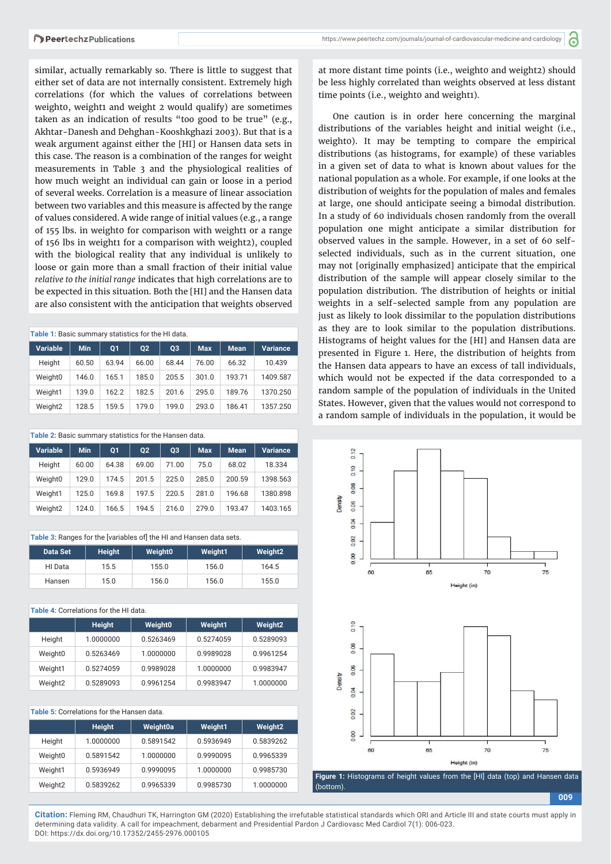similar, actually remarkably so. There is little to suggest that either set of data are not internally consistent. Extremely high correlations (for which the values of correlations between weight0, weight1 and weight 2 would qualify) are sometimes taken as an indication of results "too good to be true" (e.g., Akhtar-Danesh and Dehghan-Kooshkghazi 2003). But that is a weak argument against either the [HI] or Hansen data sets in this case. The reason is a combination of the ranges for weight measurements in Table 3 and the physiological realities of how much weight an individual can gain or loose in a period of several weeks. Correlation is a measure of linear association between two variables and this measure is affected by the range of values considered. A wide range of initial values (e.g., a range of 155 lbs. in weight0 for comparison with weight1 or a range of 156 lbs in weight1 for a comparison with weight2), coupled with the biological reality that any individual is unlikely to loose or gain more than a small fraction of their initial value *relative to the initial range* indicates that high correlations are to be expected in this situation. Both the [HI] and the Hansen data are also consistent with the anticipation that weights observed

| Table 1: Basic summary statistics for the HI data. |       |                |       |       |            |             |                 |
|----------------------------------------------------|-------|----------------|-------|-------|------------|-------------|-----------------|
| <b>Variable</b>                                    | Min.  | O <sub>1</sub> | 02    | 03    | <b>Max</b> | <b>Mean</b> | <b>Variance</b> |
| Height                                             | 60.50 | 63.94          | 66.00 | 68.44 | 76.00      | 66.32       | 10.439          |
| Weight0                                            | 146.0 | 165.1          | 185.0 | 205.5 | 301.0      | 193.71      | 1409.587        |
| Weight1                                            | 139.0 | 162.2          | 182.5 | 201.6 | 295.0      | 189.76      | 1370.250        |
| Weight <sub>2</sub>                                | 128.5 | 159.5          | 179.0 | 199.0 | 293.0      | 186.41      | 1357.250        |

**Table 2:** Basic summary statistics for the Hansen data. **Variable Min Q1 Q2 Q3 Max Mean Variance** Height 60.00 64.38 69.00 71.00 75.0 68.02 18.334 Weight0 129.0 174.5 201.5 225.0 285.0 200.59 1398.563 Weight1 125.0 169.8 197.5 220.5 281.0 196.68 1380.898 Weight2 124.0 166.5 194.5 216.0 279.0 193.47 1403.165

| Table 3: Ranges for the [variables of] the HI and Hansen data sets. |               |                |         |                     |  |
|---------------------------------------------------------------------|---------------|----------------|---------|---------------------|--|
| Data Set                                                            | <b>Height</b> | <b>Weight0</b> | Weight1 | Weight <sub>2</sub> |  |
| HI Data                                                             | 15.5          | 155.0          | 156.0   | 164.5               |  |
| Hansen                                                              | 15.0          | 156.0          | 156.0   | 155.0               |  |

**Table 4:** Correlations for the HI data. **Height Weight0 Weight1 Weight2** Height 1.0000000 0.5263469 0.5274059 0.5289093 Weight0 0.5263469 1.0000000 0.9989028 0.9961254 Weight1 0.5274059 0.9989028 1.0000000 0.9983947 Weight2 0.5289093 0.9961254 0.9983947 1.0000000

#### **Table 5:** Correlations for the Hansen data.

|                     | <b>Height</b> | Weight0a  | Weight1   | Weight <sub>2</sub> |
|---------------------|---------------|-----------|-----------|---------------------|
| Height              | 1.0000000     | 0.5891542 | 0.5936949 | 0.5839262           |
| Weight0             | 0.5891542     | 1.0000000 | 0.9990095 | 0.9965339           |
| Weight1             | 0.5936949     | 0.9990095 | 1.0000000 | 0.9985730           |
| Weight <sub>2</sub> | 0.5839262     | 0.9965339 | 0.9985730 | 1.0000000           |

**P** 

at more distant time points (i.e., weight0 and weight2) should be less highly correlated than weights observed at less distant time points (i.e., weight0 and weight1).

One caution is in order here concerning the marginal distributions of the variables height and initial weight (i.e., weight0). It may be tempting to compare the empirical distributions (as histograms, for example) of these variables in a given set of data to what is known about values for the national population as a whole. For example, if one looks at the distribution of weights for the population of males and females at large, one should anticipate seeing a bimodal distribution. In a study of 60 individuals chosen randomly from the overall population one might anticipate a similar distribution for observed values in the sample. However, in a set of 60 selfselected individuals, such as in the current situation, one may not [originally emphasized] anticipate that the empirical distribution of the sample will appear closely similar to the population distribution. The distribution of heights or initial weights in a self-selected sample from any population are just as likely to look dissimilar to the population distributions as they are to look similar to the population distributions. Histograms of height values for the [HI] and Hansen data are presented in Figure 1. Here, the distribution of heights from the Hansen data appears to have an excess of tall individuals, which would not be expected if the data corresponded to a random sample of the population of individuals in the United States. However, given that the values would not correspond to a random sample of individuals in the population, it would be



**Figure 1:** Histograms of height values from the [HI] data (top) and Hansen data (bottom).

**009**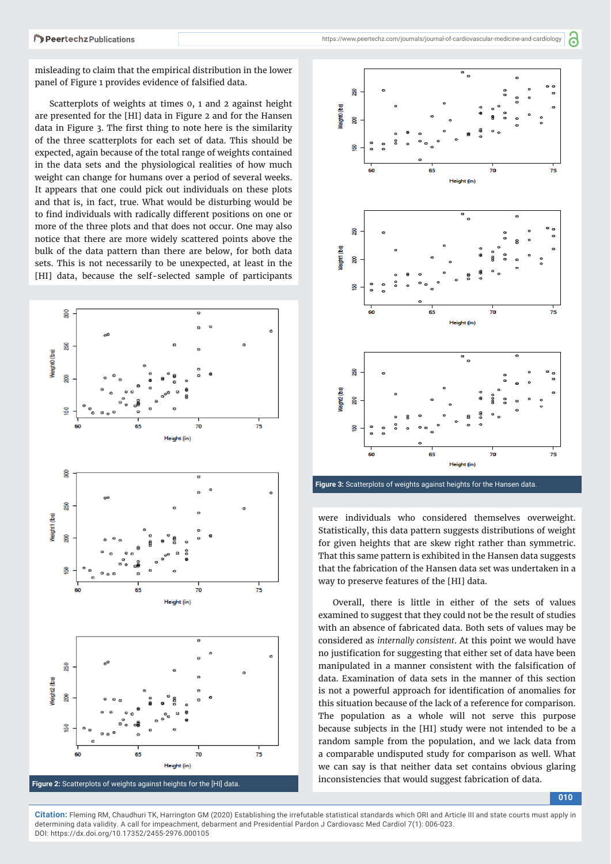്

misleading to claim that the empirical distribution in the lower panel of Figure 1 provides evidence of falsified data.

Scatterplots of weights at times 0, 1 and 2 against height are presented for the [HI] data in Figure 2 and for the Hansen data in Figure 3. The first thing to note here is the similarity of the three scatterplots for each set of data. This should be expected, again because of the total range of weights contained in the data sets and the physiological realities of how much weight can change for humans over a period of several weeks. It appears that one could pick out individuals on these plots and that is, in fact, true. What would be disturbing would be to find individuals with radically different positions on one or more of the three plots and that does not occur. One may also notice that there are more widely scattered points above the bulk of the data pattern than there are below, for both data sets. This is not necessarily to be unexpected, at least in the [HI] data, because the self-selected sample of participants





**Figure 3:** Scatterplots of weights against heights for the Hansen data.

were individuals who considered themselves overweight. Statistically, this data pattern suggests distributions of weight for given heights that are skew right rather than symmetric. That this same pattern is exhibited in the Hansen data suggests that the fabrication of the Hansen data set was undertaken in a way to preserve features of the [HI] data.

Overall, there is little in either of the sets of values examined to suggest that they could not be the result of studies with an absence of fabricated data. Both sets of values may be considered as *internally consistent*. At this point we would have no justification for suggesting that either set of data have been manipulated in a manner consistent with the falsification of data. Examination of data sets in the manner of this section is not a powerful approach for identification of anomalies for this situation because of the lack of a reference for comparison. The population as a whole will not serve this purpose because subjects in the [HI] study were not intended to be a random sample from the population, and we lack data from a comparable undisputed study for comparison as well. What we can say is that neither data set contains obvious glaring

**010**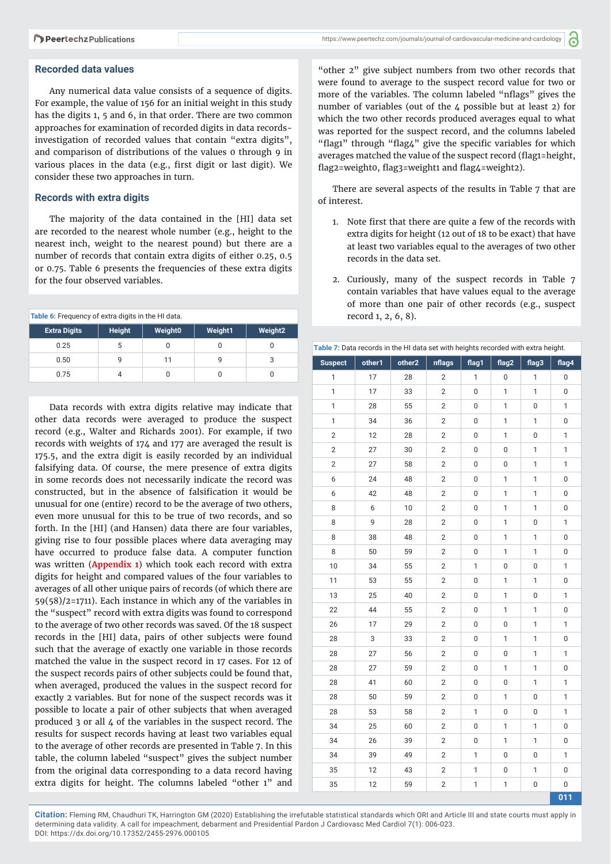'n

#### **Recorded data values**

Any numerical data value consists of a sequence of digits. For example, the value of 156 for an initial weight in this study has the digits 1, 5 and 6, in that order. There are two common approaches for examination of recorded digits in data recordsinvestigation of recorded values that contain "extra digits", and comparison of distributions of the values 0 through 9 in various places in the data (e.g., first digit or last digit). We consider these two approaches in turn.

#### **Records with extra digits**

The majority of the data contained in the [HI] data set are recorded to the nearest whole number (e.g., height to the nearest inch, weight to the nearest pound) but there are a number of records that contain extra digits of either 0.25, 0.5 or 0.75. Table 6 presents the frequencies of these extra digits for the four observed variables.

| Table 6: Frequency of extra digits in the HI data. |               |         |         |                     |  |
|----------------------------------------------------|---------------|---------|---------|---------------------|--|
| <b>Extra Digits</b>                                | <b>Height</b> | Weight0 | Weight1 | Weight <sub>2</sub> |  |
| 0.25                                               | 5             | 0       |         |                     |  |
| 0.50                                               |               | 11      |         |                     |  |
| 0.75                                               |               | U       |         |                     |  |

Data records with extra digits relative may indicate that other data records were averaged to produce the suspect record (e.g., Walter and Richards 2001). For example, if two records with weights of 174 and 177 are averaged the result is 175.5, and the extra digit is easily recorded by an individual falsifying data. Of course, the mere presence of extra digits in some records does not necessarily indicate the record was constructed, but in the absence of falsification it would be unusual for one (entire) record to be the average of two others, even more unusual for this to be true of two records, and so forth. In the [HI] (and Hansen) data there are four variables, giving rise to four possible places where data averaging may have occurred to produce false data. A computer function was written (**[Appendix 1](https://www.peertechz.com/articles/JCMC-7-205-Appendix.rar)**) which took each record with extra digits for height and compared values of the four variables to averages of all other unique pairs of records (of which there are 59(58)/2=1711). Each instance in which any of the variables in the "suspect" record with extra digits was found to correspond to the average of two other records was saved. Of the 18 suspect records in the [HI] data, pairs of other subjects were found such that the average of exactly one variable in those records matched the value in the suspect record in 17 cases. For 12 of the suspect records pairs of other subjects could be found that, when averaged, produced the values in the suspect record for exactly 2 variables. But for none of the suspect records was it possible to locate a pair of other subjects that when averaged produced 3 or all 4 of the variables in the suspect record. The results for suspect records having at least two variables equal to the average of other records are presented in Table 7. In this table, the column labeled "suspect" gives the subject number from the original data corresponding to a data record having extra digits for height. The columns labeled "other 1" and

"other 2" give subject numbers from two other records that were found to average to the suspect record value for two or more of the variables. The column labeled "nflags" gives the number of variables (out of the 4 possible but at least 2) for which the two other records produced averages equal to what was reported for the suspect record, and the columns labeled "flag1" through "flag4" give the specific variables for which averages matched the value of the suspect record (flag1=height, flag2=weight0, flag3=weight1 and flag4=weight2).

There are several aspects of the results in Table 7 that are of interest.

- 1. Note first that there are quite a few of the records with extra digits for height (12 out of 18 to be exact) that have at least two variables equal to the averages of two other records in the data set.
- 2. Curiously, many of the suspect records in Table 7 contain variables that have values equal to the average of more than one pair of other records (e.g., suspect record 1, 2, 6, 8).

| Table 7: Data records in the HI data set with heights recorded with extra height. |        |        |                |              |                  |                  |             |
|-----------------------------------------------------------------------------------|--------|--------|----------------|--------------|------------------|------------------|-------------|
| <b>Suspect</b>                                                                    | other1 | other2 | nflags         | flag1        | flag2            | flag3            | flag4       |
| $\mathbf{1}$                                                                      | 17     | 28     | 2              | 1            | 0                | 1                | 0           |
| 1                                                                                 | 17     | 33     | $\overline{2}$ | 0            | 1                | 1                | 0           |
| 1                                                                                 | 28     | 55     | $\overline{2}$ | 0            | $\mathbf{1}$     | 0                | 1           |
| 1                                                                                 | 34     | 36     | 2              | 0            | 1                | 1                | 0           |
| $\overline{2}$                                                                    | 12     | 28     | 2              | 0            | 1                | 0                | 1           |
| 2                                                                                 | 27     | 30     | 2              | 0            | 0                | 1                | 1           |
| $\overline{2}$                                                                    | 27     | 58     | 2              | 0            | 0                | 1                | $\mathbf 1$ |
| 6                                                                                 | 24     | 48     | $\overline{2}$ | 0            | 1                | 1                | 0           |
| 6                                                                                 | 42     | 48     | $\overline{2}$ | 0            | 1                | 1                | 0           |
| 8                                                                                 | 6      | 10     | 2              | 0            | 1                | 1                | 0           |
| 8                                                                                 | 9      | 28     | $\overline{2}$ | 0            | $\mathbf{1}$     | 0                | 1           |
| 8                                                                                 | 38     | 48     | $\overline{2}$ | 0            | $\mathbf 1$      | $\mathbf 1$      | 0           |
| 8                                                                                 | 50     | 59     | $\overline{2}$ | 0            | 1                | 1                | 0           |
| 10                                                                                | 34     | 55     | $\overline{2}$ | 1            | $\boldsymbol{0}$ | 0                | 1           |
| 11                                                                                | 53     | 55     | $\overline{2}$ | 0            | 1                | 1                | 0           |
| 13                                                                                | 25     | 40     | $\overline{2}$ | 0            | 1                | 0                | 1           |
| 22                                                                                | 44     | 55     | $\overline{2}$ | 0            | 1                | 1                | 0           |
| 26                                                                                | 17     | 29     | $\overline{2}$ | 0            | 0                | 1                | 1           |
| 28                                                                                | 3      | 33     | $\overline{2}$ | 0            | 1                | 1                | 0           |
| 28                                                                                | 27     | 56     | $\overline{2}$ | 0            | 0                | 1                | 1           |
| 28                                                                                | 27     | 59     | 2              | 0            | 1                | 1                | 0           |
| 28                                                                                | 41     | 60     | $\overline{2}$ | 0            | $\boldsymbol{0}$ | 1                | 1           |
| 28                                                                                | 50     | 59     | $\overline{2}$ | 0            | 1                | 0                | 1           |
| 28                                                                                | 53     | 58     | $\overline{2}$ | 1            | 0                | 0                | 1           |
| 34                                                                                | 25     | 60     | $\overline{2}$ | 0            | 1                | 1                | 0           |
| 34                                                                                | 26     | 39     | $\overline{2}$ | 0            | 1                | 1                | 0           |
| 34                                                                                | 39     | 49     | 2              | 1            | 0                | 0                | 1           |
| 35                                                                                | 12     | 43     | 2              | 1            | 0                | 1                | 0           |
| 35                                                                                | 12     | 59     | $\overline{2}$ | $\mathbf{1}$ | $\mathbf 1$      | $\boldsymbol{0}$ | 0           |
|                                                                                   |        |        |                |              |                  |                  | 011         |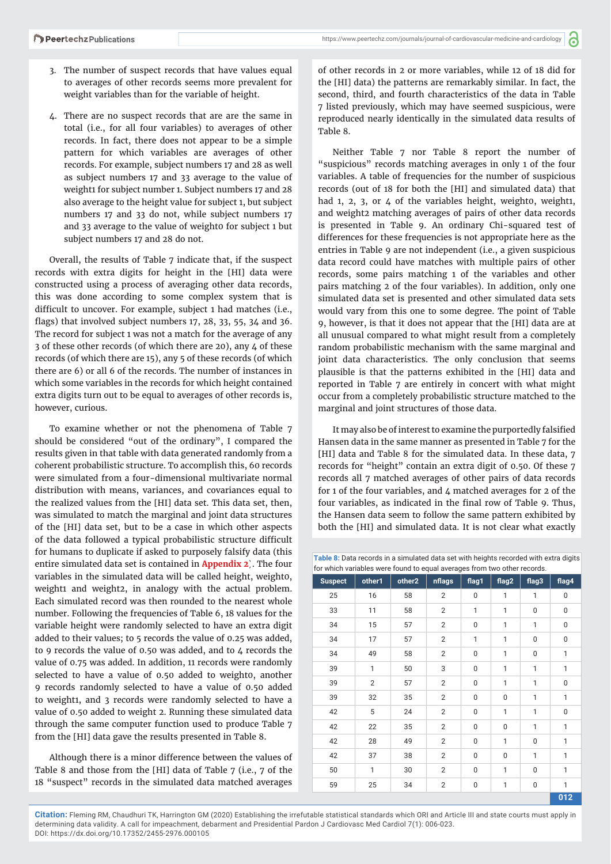**d** 

- 3. The number of suspect records that have values equal to averages of other records seems more prevalent for weight variables than for the variable of height.
- 4. There are no suspect records that are are the same in total (i.e., for all four variables) to averages of other records. In fact, there does not appear to be a simple pattern for which variables are averages of other records. For example, subject numbers 17 and 28 as well as subject numbers 17 and 33 average to the value of weight1 for subject number 1. Subject numbers 17 and 28 also average to the height value for subject 1, but subject numbers 17 and 33 do not, while subject numbers 17 and 33 average to the value of weight0 for subject 1 but subject numbers 17 and 28 do not.

Overall, the results of Table 7 indicate that, if the suspect records with extra digits for height in the [HI] data were constructed using a process of averaging other data records, this was done according to some complex system that is difficult to uncover. For example, subject 1 had matches (i.e., flags) that involved subject numbers  $17, 28, 33, 55, 34$  and  $36$ . The record for subject 1 was not a match for the average of any 3 of these other records (of which there are 20), any 4 of these records (of which there are 15), any 5 of these records (of which there are 6) or all 6 of the records. The number of instances in which some variables in the records for which height contained extra digits turn out to be equal to averages of other records is, however, curious.

To examine whether or not the phenomena of Table 7 should be considered "out of the ordinary", I compared the results given in that table with data generated randomly from a coherent probabilistic structure. To accomplish this, 60 records were simulated from a four-dimensional multivariate normal distribution with means, variances, and covariances equal to the realized values from the [HI] data set. This data set, then, was simulated to match the marginal and joint data structures of the [HI] data set, but to be a case in which other aspects of the data followed a typical probabilistic structure difficult for humans to duplicate if asked to purposely falsify data (this entire simulated data set is contained in **[Appendix 2](https://www.peertechz.com/articles/JCMC-7-205-Appendix.rar)**). The four variables in the simulated data will be called height, weight0, weight1 and weight2, in analogy with the actual problem. Each simulated record was then rounded to the nearest whole number. Following the frequencies of Table 6, 18 values for the variable height were randomly selected to have an extra digit added to their values; to 5 records the value of 0.25 was added, to 9 records the value of 0.50 was added, and to  $4$  records the value of 0.75 was added. In addition, 11 records were randomly selected to have a value of 0.50 added to weight0, another 9 records randomly selected to have a value of 0.50 added to weight1, and 3 records were randomly selected to have a value of 0.50 added to weight 2. Running these simulated data through the same computer function used to produce Table 7 from the [HI] data gave the results presented in Table 8.

Although there is a minor difference between the values of Table 8 and those from the [HI] data of Table 7 (i.e., 7 of the 18 "suspect" records in the simulated data matched averages

of other records in 2 or more variables, while 12 of 18 did for the [HI] data) the patterns are remarkably similar. In fact, the second, third, and fourth characteristics of the data in Table 7 listed previously, which may have seemed suspicious, were reproduced nearly identically in the simulated data results of Table 8.

Neither Table 7 nor Table 8 report the number of "suspicious" records matching averages in only 1 of the four variables. A table of frequencies for the number of suspicious records (out of 18 for both the [HI] and simulated data) that had 1, 2, 3, or 4 of the variables height, weight0, weight1, and weight2 matching averages of pairs of other data records is presented in Table 9. An ordinary Chi-squared test of differences for these frequencies is not appropriate here as the entries in Table 9 are not independent (i.e., a given suspicious data record could have matches with multiple pairs of other records, some pairs matching 1 of the variables and other pairs matching 2 of the four variables). In addition, only one simulated data set is presented and other simulated data sets would vary from this one to some degree. The point of Table 9, however, is that it does not appear that the [HI] data are at all unusual compared to what might result from a completely random probabilistic mechanism with the same marginal and joint data characteristics. The only conclusion that seems plausible is that the patterns exhibited in the [HI] data and reported in Table 7 are entirely in concert with what might occur from a completely probabilistic structure matched to the marginal and joint structures of those data.

It may also be of interest to examine the purportedly falsified Hansen data in the same manner as presented in Table 7 for the [HI] data and Table 8 for the simulated data. In these data, 7 records for "height" contain an extra digit of 0.50. Of these 7 records all 7 matched averages of other pairs of data records for 1 of the four variables, and 4 matched averages for 2 of the four variables, as indicated in the final row of Table 9. Thus, the Hansen data seem to follow the same pattern exhibited by both the [HI] and simulated data. It is not clear what exactly

**Table 8:** Data records in a simulated data set with heights recorded with extra digits for which variables were found to equal averages from two other records.

| <b>Suspect</b> | other1         | other2 | nflags         | flag1       | flag2          | flag3          | flag4          |
|----------------|----------------|--------|----------------|-------------|----------------|----------------|----------------|
| 25             | 16             | 58     | $\overline{2}$ | 0           | $\mathbf{1}$   | 1              | $\overline{0}$ |
| 33             | 11             | 58     | $\overline{2}$ | 1           | 1              | $\overline{0}$ | $\mathbf 0$    |
| 34             | 15             | 57     | $\overline{2}$ | $\mathbf 0$ | 1              | 1              | $\mathbf 0$    |
| 34             | 17             | 57     | $\overline{2}$ | 1           | $\mathbf{1}$   | $\mathbf 0$    | $\mathbf 0$    |
| 34             | 49             | 58     | $\overline{2}$ | $\mathbf 0$ | $\mathbf{1}$   | $\mathbf 0$    | 1              |
| 39             | 1              | 50     | 3              | 0           | 1              | 1              | 1              |
| 39             | $\overline{2}$ | 57     | $\overline{2}$ | $\mathbf 0$ | 1              | 1              | 0              |
| 39             | 32             | 35     | $\overline{2}$ | $\mathbf 0$ | $\overline{0}$ | 1              | 1              |
| 42             | 5              | 24     | $\overline{2}$ | $\mathbf 0$ | $\mathbf{1}$   | 1              | $\overline{0}$ |
| 42             | 22             | 35     | $\overline{2}$ | 0           | 0              | 1              | 1              |
| 42             | 28             | 49     | $\overline{2}$ | $\mathbf 0$ | 1              | $\mathbf 0$    | 1              |
| 42             | 37             | 38     | $\overline{2}$ | 0           | 0              | 1              | 1              |
| 50             | $\mathbf{1}$   | 30     | $\overline{2}$ | 0           | $\mathbf{1}$   | 0              | 1              |
| 59             | 25             | 34     | $\overline{2}$ | 0           | 1              | $\mathbf 0$    | 1              |
|                |                |        |                |             |                |                | 012            |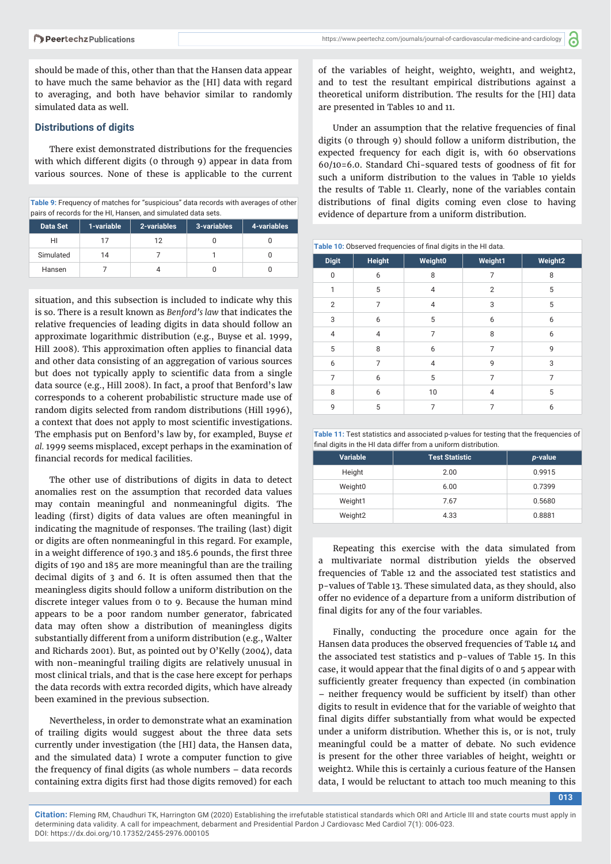should be made of this, other than that the Hansen data appear to have much the same behavior as the [HI] data with regard to averaging, and both have behavior similar to randomly simulated data as well.

#### **Distributions of digits**

There exist demonstrated distributions for the frequencies with which different digits (0 through 9) appear in data from various sources. None of these is applicable to the current

**Table 9:** Frequency of matches for "suspicious" data records with averages of other pairs of records for the HI, Hansen, and simulated data sets.

| <b>Data Set</b> | 1-variable | 2-variables | 3-variables | 4-variables |
|-----------------|------------|-------------|-------------|-------------|
| HI              |            | 12          |             |             |
| Simulated       | 14         |             |             |             |
| Hansen          |            |             |             |             |

situation, and this subsection is included to indicate why this is so. There is a result known as *Benford's law* that indicates the relative frequencies of leading digits in data should follow an approximate logarithmic distribution (e.g., Buyse et al. 1999, Hill 2008). This approximation often applies to financial data and other data consisting of an aggregation of various sources but does not typically apply to scientific data from a single data source (e.g., Hill 2008). In fact, a proof that Benford's law corresponds to a coherent probabilistic structure made use of random digits selected from random distributions (Hill 1996), a context that does not apply to most scientific investigations. The emphasis put on Benford's law by, for exampled, Buyse *et al.* 1999 seems misplaced, except perhaps in the examination of financial records for medical facilities.

The other use of distributions of digits in data to detect anomalies rest on the assumption that recorded data values may contain meaningful and nonmeaningful digits. The leading (first) digits of data values are often meaningful in indicating the magnitude of responses. The trailing (last) digit or digits are often nonmeaningful in this regard. For example, in a weight difference of 190.3 and 185.6 pounds, the first three digits of 190 and 185 are more meaningful than are the trailing decimal digits of 3 and 6. It is often assumed then that the meaningless digits should follow a uniform distribution on the discrete integer values from 0 to 9. Because the human mind appears to be a poor random number generator, fabricated data may often show a distribution of meaningless digits substantially different from a uniform distribution (e.g., Walter and Richards 2001). But, as pointed out by O'Kelly (2004), data with non-meaningful trailing digits are relatively unusual in most clinical trials, and that is the case here except for perhaps the data records with extra recorded digits, which have already been examined in the previous subsection.

Nevertheless, in order to demonstrate what an examination of trailing digits would suggest about the three data sets currently under investigation (the [HI] data, the Hansen data, and the simulated data) I wrote a computer function to give the frequency of final digits (as whole numbers  $-$  data records containing extra digits first had those digits removed) for each

of the variables of height, weight0, weight1, and weight2, and to test the resultant empirical distributions against a theoretical uniform distribution. The results for the [HI] data are presented in Tables 10 and 11.

Under an assumption that the relative frequencies of final digits (0 through 9) should follow a uniform distribution, the expected frequency for each digit is, with 60 observations 60/10=6.0. Standard Chi-squared tests of goodness of fit for such a uniform distribution to the values in Table 10 yields the results of Table 11. Clearly, none of the variables contain distributions of final digits coming even close to having evidence of departure from a uniform distribution.

Table 10: Observed frequencies of final digits in the HI data.

| <b>Digit</b>   | <b>Height</b>  | <b>Weight0</b> | Weight1        | Weight <sub>2</sub> |
|----------------|----------------|----------------|----------------|---------------------|
| $\mathbf{0}$   | 6              | 8              | 7              | 8                   |
| $\mathbf{1}$   | 5              | $\overline{4}$ | $\overline{2}$ | 5                   |
| $\overline{2}$ | 7              | $\overline{4}$ | 3              | 5                   |
| 3              | 6              | 5              | 6              | 6                   |
| $\overline{4}$ | 4              | 7              | 8              | 6                   |
| 5              | 8              | 6              | 7              | 9                   |
| 6              | $\overline{7}$ | $\overline{4}$ | 9              | 3                   |
| $\overline{7}$ | 6              | 5              | 7              | 7                   |
| 8              | 6              | 10             | 4              | 5                   |
| 9              | 5              | 7              | 7              | 6                   |

| Table 11: Test statistics and associated p-values for testing that the frequencies of |  |
|---------------------------------------------------------------------------------------|--|
| final digits in the HI data differ from a uniform distribution.                       |  |

| <b>Variable</b>     | <b>Test Statistic</b> | p-value |
|---------------------|-----------------------|---------|
| Height              | 2.00                  | 0.9915  |
| Weight0             | 6.00                  | 0.7399  |
| Weight1             | 7.67                  | 0.5680  |
| Weight <sub>2</sub> | 4.33                  | 0.8881  |

Repeating this exercise with the data simulated from a multivariate normal distribution yields the observed frequencies of Table 12 and the associated test statistics and p−values of Table 13. These simulated data, as they should, also offer no evidence of a departure from a uniform distribution of final digits for any of the four variables.

Finally, conducting the procedure once again for the Hansen data produces the observed frequencies of Table 14 and the associated test statistics and p−values of Table 15. In this case, it would appear that the final digits of 0 and 5 appear with sufficiently greater frequency than expected (in combination – neither frequency would be sufficient by itself) than other digits to result in evidence that for the variable of weighto that final digits differ substantially from what would be expected under a uniform distribution. Whether this is, or is not, truly meaningful could be a matter of debate. No such evidence is present for the other three variables of height, weight1 or weight2. While this is certainly a curious feature of the Hansen data, I would be reluctant to attach too much meaning to this

**013**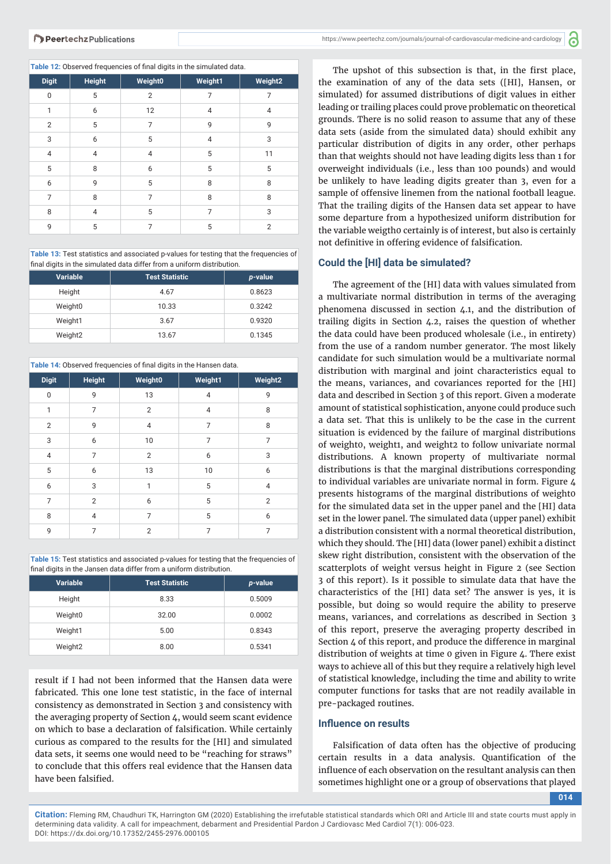| <b>Digit</b>   | <b>Height</b>  | Weight0        | Weight1        | Weight <sub>2</sub> |
|----------------|----------------|----------------|----------------|---------------------|
| $\mathbf{0}$   | 5              | $\overline{2}$ | 7              | 7                   |
| 1              | 6              | 12             | $\overline{4}$ | 4                   |
| $\overline{2}$ | 5              | 7              | 9              | 9                   |
| 3              | 6              | 5              | $\overline{4}$ | 3                   |
| $\overline{4}$ | $\overline{4}$ | $\overline{4}$ | 5              | 11                  |
| 5              | 8              | 6              | 5              | 5                   |
| 6              | 9              | 5              | 8              | 8                   |
| 7              | 8              | 7              | 8              | 8                   |
| 8              | $\overline{4}$ | 5              | 7              | 3                   |
| 9              | 5              | 7              | 5              | $\overline{2}$      |

**Table 13:** Test statistics and associated p-values for testing that the frequencies of final digits in the simulated data differ from a uniform distribution.

| <b>Variable</b>     | <b>Test Statistic</b> | p-value |
|---------------------|-----------------------|---------|
| Height              | 4.67                  | 0.8623  |
| Weight0             | 10.33                 | 0.3242  |
| Weight1             | 3.67                  | 0.9320  |
| Weight <sub>2</sub> | 13.67                 | 0.1345  |

Table 14: Observed frequencies of final digits in the Hansen data.

| <b>Digit</b>   | <b>Height</b>  | Weight0        | Weight1        | Weight <sub>2</sub> |
|----------------|----------------|----------------|----------------|---------------------|
| $\mathbf{0}$   | 9              | 13             | $\overline{4}$ | 9                   |
| $\mathbf{1}$   | $\overline{7}$ | $\overline{2}$ | $\overline{4}$ | 8                   |
| $\overline{2}$ | 9              | $\overline{4}$ | $\overline{7}$ | 8                   |
| 3              | 6              | 10             | 7              | 7                   |
| $\overline{4}$ | 7              | $\overline{2}$ | 6              | 3                   |
| 5              | 6              | 13             | 10             | 6                   |
| 6              | 3              | $\mathbf{1}$   | 5              | $\overline{4}$      |
| $\overline{7}$ | $\overline{2}$ | 6              | 5              | $\overline{2}$      |
| 8              | 4              | 7              | 5              | 6                   |
| 9              | 7              | $\overline{2}$ | 7              | 7                   |

**Table 15:** Test statistics and associated p-values for testing that the frequencies of final digits in the Jansen data differ from a uniform distribution.

| <b>Variable</b>     | <b>Test Statistic</b> | p-value |
|---------------------|-----------------------|---------|
| Height              | 8.33                  | 0.5009  |
| Weight0             | 32.00                 | 0.0002  |
| Weight1             | 5.00                  | 0.8343  |
| Weight <sub>2</sub> | 8.00                  | 0.5341  |

result if I had not been informed that the Hansen data were fabricated. This one lone test statistic, in the face of internal consistency as demonstrated in Section 3 and consistency with the averaging property of Section 4, would seem scant evidence on which to base a declaration of falsification. While certainly curious as compared to the results for the [HI] and simulated data sets, it seems one would need to be "reaching for straws" to conclude that this offers real evidence that the Hansen data have been falsified.

The upshot of this subsection is that, in the first place, the examination of any of the data sets ([HI], Hansen, or simulated) for assumed distributions of digit values in either leading or trailing places could prove problematic on theoretical grounds. There is no solid reason to assume that any of these data sets (aside from the simulated data) should exhibit any particular distribution of digits in any order, other perhaps than that weights should not have leading digits less than 1 for overweight individuals (i.e., less than 100 pounds) and would be unlikely to have leading digits greater than 3, even for a sample of offensive linemen from the national football league. That the trailing digits of the Hansen data set appear to have some departure from a hypothesized uniform distribution for the variable weigtho certainly is of interest, but also is certainly not definitive in offering evidence of falsification.

#### **Could the [HI] data be simulated?**

The agreement of the [HI] data with values simulated from a multivariate normal distribution in terms of the averaging phenomena discussed in section 4.1, and the distribution of trailing digits in Section 4.2, raises the question of whether the data could have been produced wholesale (i.e., in entirety) from the use of a random number generator. The most likely candidate for such simulation would be a multivariate normal distribution with marginal and joint characteristics equal to the means, variances, and covariances reported for the [HI] data and described in Section 3 of this report. Given a moderate amount of statistical sophistication, anyone could produce such a data set. That this is unlikely to be the case in the current situation is evidenced by the failure of marginal distributions of weight0, weight1, and weight2 to follow univariate normal distributions. A known property of multivariate normal distributions is that the marginal distributions corresponding to individual variables are univariate normal in form. Figure 4 presents histograms of the marginal distributions of weight0 for the simulated data set in the upper panel and the [HI] data set in the lower panel. The simulated data (upper panel) exhibit a distribution consistent with a normal theoretical distribution, which they should. The [HI] data (lower panel) exhibit a distinct skew right distribution, consistent with the observation of the scatterplots of weight versus height in Figure 2 (see Section 3 of this report). Is it possible to simulate data that have the characteristics of the [HI] data set? The answer is yes, it is possible, but doing so would require the ability to preserve means, variances, and correlations as described in Section 3 of this report, preserve the averaging property described in Section 4 of this report, and produce the difference in marginal distribution of weights at time 0 given in Figure 4. There exist ways to achieve all of this but they require a relatively high level of statistical knowledge, including the time and ability to write computer functions for tasks that are not readily available in pre-packaged routines.

#### **Influence on results**

Falsification of data often has the objective of producing certain results in a data analysis. Quantification of the influence of each observation on the resultant analysis can then sometimes highlight one or a group of observations that played

**014**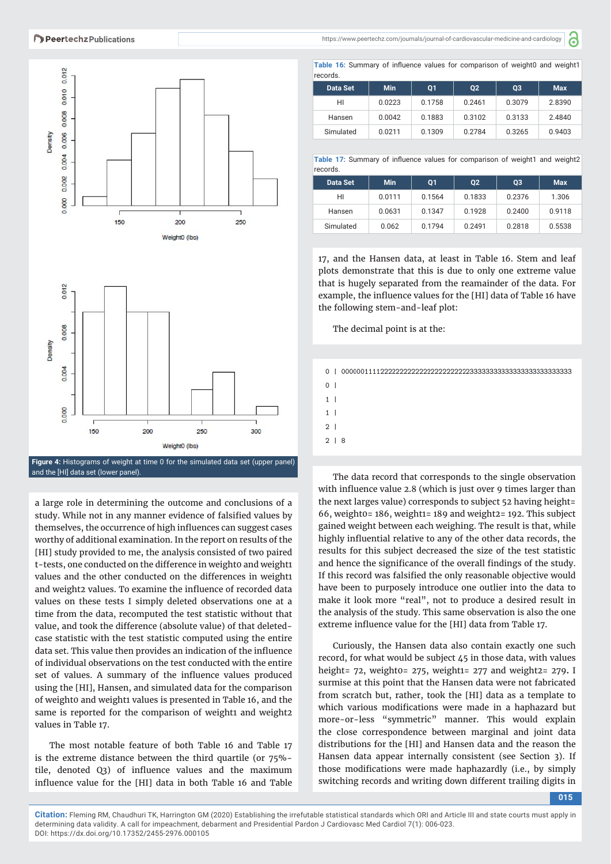

and the [HI] data set (lower panel).

a large role in determining the outcome and conclusions of a study. While not in any manner evidence of falsified values by themselves, the occurrence of high influences can suggest cases worthy of additional examination. In the report on results of the [HI] study provided to me, the analysis consisted of two paired t-tests, one conducted on the difference in weight0 and weight1 values and the other conducted on the differences in weight1 and weight2 values. To examine the influence of recorded data values on these tests I simply deleted observations one at a time from the data, recomputed the test statistic without that value, and took the difference (absolute value) of that deletedcase statistic with the test statistic computed using the entire data set. This value then provides an indication of the influence of individual observations on the test conducted with the entire set of values. A summary of the influence values produced using the [HI], Hansen, and simulated data for the comparison of weight0 and weight1 values is presented in Table 16, and the same is reported for the comparison of weight1 and weight2 values in Table 17.

The most notable feature of both Table 16 and Table 17 is the extreme distance between the third quartile (or 75%− tile, denoted O3) of influence values and the maximum influence value for the [HI] data in both Table 16 and Table https://www.peertechz.com/journals/journal-of-cardiovascular-medicine-and-cardiology

a

Table 16: Summary of influence values for comparison of weight0 and weight1 records.

| 1 CCU LUU.             |        |        |        |        |            |  |
|------------------------|--------|--------|--------|--------|------------|--|
| <b>Min</b><br>Data Set |        | 01     | 02     | 03     | <b>Max</b> |  |
| HI                     | 0.0223 | 0.1758 | 0.2461 | 0.3079 | 2.8390     |  |
| Hansen                 | 0.0042 | 0.1883 | 0.3102 | 0.3133 | 2.4840     |  |
| Simulated              | 0.0211 | 0.1309 | 0.2784 | 0.3265 | 0.9403     |  |

**Table 17:** Summary of influence values for comparison of weight1 and weight2 records.

| <b>Min</b><br><b>Data Set</b> |        | 01     | 02     | 03     | <b>Max</b> |  |
|-------------------------------|--------|--------|--------|--------|------------|--|
| HI                            | 0.0111 | 0.1564 | 0.1833 | 0.2376 | 1.306      |  |
| Hansen                        | 0.0631 | 0.1347 | 0.1928 | 0.2400 | 0.9118     |  |
| Simulated                     | 0.062  | 0.1794 | 0.2491 | 0.2818 | 0.5538     |  |

17, and the Hansen data, at least in Table 16. Stem and leaf plots demonstrate that this is due to only one extreme value that is hugely separated from the reamainder of the data. For example, the influence values for the [HI] data of Table 16 have the following stem-and-leaf plot:

The decimal point is at the:

 $0<sup>-1</sup>$  $1<sup>1</sup>$  $1<sup>1</sup>$  $\overline{2}$  $2 \mid 8$ 

The data record that corresponds to the single observation with influence value 2.8 (which is just over 9 times larger than the next larges value) corresponds to subject 52 having height= 66, weight0= 186, weight1= 189 and weight2= 192. This subject gained weight between each weighing. The result is that, while highly influential relative to any of the other data records, the results for this subject decreased the size of the test statistic and hence the significance of the overall findings of the study. If this record was falsified the only reasonable objective would have been to purposely introduce one outlier into the data to make it look more "real", not to produce a desired result in the analysis of the study. This same observation is also the one extreme influence value for the [HI] data from Table 17.

Curiously, the Hansen data also contain exactly one such record, for what would be subject 45 in those data, with values height= 72, weight0= 275, weight1= 277 and weight2= 279**.** I surmise at this point that the Hansen data were not fabricated from scratch but, rather, took the [HI] data as a template to which various modifications were made in a haphazard but more-or-less "symmetric" manner. This would explain the close correspondence between marginal and joint data distributions for the [HI] and Hansen data and the reason the Hansen data appear internally consistent (see Section 3). If those modifications were made haphazardly (i.e., by simply switching records and writing down different trailing digits in

**015**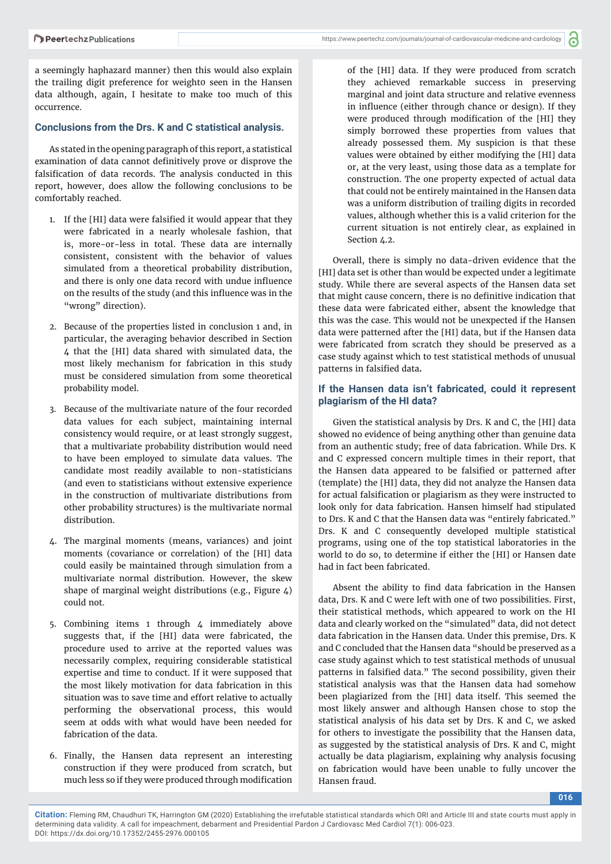https://www.peertechz.com/journals/journal-of-cardiovascular-medicine-and-cardiology

a seemingly haphazard manner) then this would also explain the trailing digit preference for weight0 seen in the Hansen data although, again, I hesitate to make too much of this occurrence.

#### **Conclusions from the Drs. K and C statistical analysis.**

As stated in the opening paragraph of this report, a statistical examination of data cannot definitively prove or disprove the falsification of data records. The analysis conducted in this report, however, does allow the following conclusions to be comfortably reached.

- 1. If the [HI] data were falsified it would appear that they were fabricated in a nearly wholesale fashion, that is, more-or-less in total. These data are internally consistent, consistent with the behavior of values simulated from a theoretical probability distribution, and there is only one data record with undue influence on the results of the study (and this influence was in the "wrong" direction).
- 2. Because of the properties listed in conclusion 1 and, in particular, the averaging behavior described in Section 4 that the [HI] data shared with simulated data, the most likely mechanism for fabrication in this study must be considered simulation from some theoretical probability model.
- 3. Because of the multivariate nature of the four recorded data values for each subject, maintaining internal consistency would require, or at least strongly suggest, that a multivariate probability distribution would need to have been employed to simulate data values. The candidate most readily available to non-statisticians (and even to statisticians without extensive experience in the construction of multivariate distributions from other probability structures) is the multivariate normal distribution.
- 4. The marginal moments (means, variances) and joint moments (covariance or correlation) of the [HI] data could easily be maintained through simulation from a multivariate normal distribution. However, the skew shape of marginal weight distributions (e.g., Figure  $\Delta$ ) could not.
- 5. Combining items 1 through 4 immediately above suggests that, if the [HI] data were fabricated, the procedure used to arrive at the reported values was necessarily complex, requiring considerable statistical expertise and time to conduct. If it were supposed that the most likely motivation for data fabrication in this situation was to save time and effort relative to actually performing the observational process, this would seem at odds with what would have been needed for fabrication of the data.
- 6. Finally, the Hansen data represent an interesting construction if they were produced from scratch, but much less so if they were produced through modification

of the [HI] data. If they were produced from scratch they achieved remarkable success in preserving marginal and joint data structure and relative evenness in influence (either through chance or design). If they were produced through modification of the [HI] they simply borrowed these properties from values that already possessed them. My suspicion is that these values were obtained by either modifying the [HI] data or, at the very least, using those data as a template for construction. The one property expected of actual data that could not be entirely maintained in the Hansen data was a uniform distribution of trailing digits in recorded values, although whether this is a valid criterion for the current situation is not entirely clear, as explained in Section 4.2.

Overall, there is simply no data-driven evidence that the [HI] data set is other than would be expected under a legitimate study. While there are several aspects of the Hansen data set that might cause concern, there is no definitive indication that these data were fabricated either, absent the knowledge that this was the case. This would not be unexpected if the Hansen data were patterned after the [HI] data, but if the Hansen data were fabricated from scratch they should be preserved as a case study against which to test statistical methods of unusual patterns in falsified data.

## **If the Hansen data isn't fabricated, could it represent plagiarism of the HI data?**

Given the statistical analysis by Drs. K and C, the [HI] data showed no evidence of being anything other than genuine data from an authentic study; free of data fabrication. While Drs. K and C expressed concern multiple times in their report, that the Hansen data appeared to be falsified or patterned after (template) the [HI] data, they did not analyze the Hansen data for actual falsification or plagiarism as they were instructed to look only for data fabrication. Hansen himself had stipulated to Drs. K and C that the Hansen data was "entirely fabricated." Drs. K and C consequently developed multiple statistical programs, using one of the top statistical laboratories in the world to do so, to determine if either the [HI] or Hansen date had in fact been fabricated.

Absent the ability to find data fabrication in the Hansen data, Drs. K and C were left with one of two possibilities. First, their statistical methods, which appeared to work on the HI data and clearly worked on the "simulated" data, did not detect data fabrication in the Hansen data. Under this premise, Drs. K and C concluded that the Hansen data "should be preserved as a case study against which to test statistical methods of unusual patterns in falsified data." The second possibility, given their statistical analysis was that the Hansen data had somehow been plagiarized from the [HI] data itself. This seemed the most likely answer and although Hansen chose to stop the statistical analysis of his data set by Drs. K and C, we asked for others to investigate the possibility that the Hansen data, as suggested by the statistical analysis of Drs. K and C, might actually be data plagiarism, explaining why analysis focusing on fabrication would have been unable to fully uncover the Hansen fraud.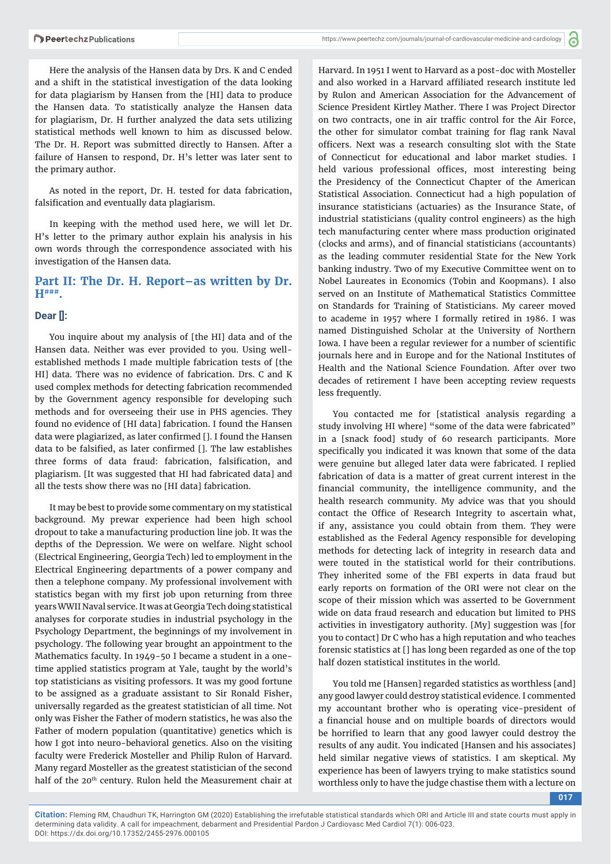Here the analysis of the Hansen data by Drs. K and C ended and a shift in the statistical investigation of the data looking for data plagiarism by Hansen from the [HI] data to produce the Hansen data. To statistically analyze the Hansen data for plagiarism, Dr. H further analyzed the data sets utilizing statistical methods well known to him as discussed below. The Dr. H. Report was submitted directly to Hansen. After a failure of Hansen to respond, Dr. H's letter was later sent to the primary author.

As noted in the report, Dr. H. tested for data fabrication, falsification and eventually data plagiarism.

In keeping with the method used here, we will let Dr. H's letter to the primary author explain his analysis in his own words through the correspondence associated with his investigation of the Hansen data.

# **Part II: The Dr. H. Report–as written by Dr. H###.**

#### **Dear []:**

You inquire about my analysis of [the HI] data and of the Hansen data. Neither was ever provided to you. Using wellestablished methods I made multiple fabrication tests of [the HI] data. There was no evidence of fabrication. Drs. C and K used complex methods for detecting fabrication recommended by the Government agency responsible for developing such methods and for overseeing their use in PHS agencies. They found no evidence of [HI data] fabrication. I found the Hansen data were plagiarized, as later confirmed []. I found the Hansen data to be falsified, as later confirmed []. The law establishes three forms of data fraud: fabrication, falsification, and plagiarism. [It was suggested that HI had fabricated data] and all the tests show there was no [HI data] fabrication.

It may be best to provide some commentary on my statistical background. My prewar experience had been high school dropout to take a manufacturing production line job. It was the depths of the Depression. We were on welfare. Night school (Electrical Engineering, Georgia Tech) led to employment in the Electrical Engineering departments of a power company and then a telephone company. My professional involvement with statistics began with my first job upon returning from three years WWII Naval service. It was at Georgia Tech doing statistical analyses for corporate studies in industrial psychology in the Psychology Department, the beginnings of my involvement in psychology. The following year brought an appointment to the Mathematics faculty. In 1949-50 I became a student in a onetime applied statistics program at Yale, taught by the world's top statisticians as visiting professors. It was my good fortune to be assigned as a graduate assistant to Sir Ronald Fisher, universally regarded as the greatest statistician of all time. Not only was Fisher the Father of modern statistics, he was also the Father of modern population (quantitative) genetics which is how I got into neuro-behavioral genetics. Also on the visiting faculty were Frederick Mosteller and Philip Rulon of Harvard. Many regard Mosteller as the greatest statistician of the second half of the 20<sup>th</sup> century. Rulon held the Measurement chair at

Harvard. In 1951 I went to Harvard as a post-doc with Mosteller and also worked in a Harvard affiliated research institute led by Rulon and American Association for the Advancement of Science President Kirtley Mather. There I was Project Director on two contracts, one in air traffic control for the Air Force, the other for simulator combat training for flag rank Naval officers. Next was a research consulting slot with the State of Connecticut for educational and labor market studies. I held various professional offices, most interesting being the Presidency of the Connecticut Chapter of the American Statistical Association. Connecticut had a high population of insurance statisticians (actuaries) as the Insurance State, of industrial statisticians (quality control engineers) as the high tech manufacturing center where mass production originated (clocks and arms), and of financial statisticians (accountants) as the leading commuter residential State for the New York banking industry. Two of my Executive Committee went on to Nobel Laureates in Economics (Tobin and Koopmans). I also served on an Institute of Mathematical Statistics Committee on Standards for Training of Statisticians. My career moved to academe in 1957 where I formally retired in 1986. I was named Distinguished Scholar at the University of Northern Iowa. I have been a regular reviewer for a number of scientific journals here and in Europe and for the National Institutes of Health and the National Science Foundation. After over two decades of retirement I have been accepting review requests less frequently.

You contacted me for [statistical analysis regarding a study involving HI where] "some of the data were fabricated" in a [snack food] study of 60 research participants. More specifically you indicated it was known that some of the data were genuine but alleged later data were fabricated. I replied fabrication of data is a matter of great current interest in the financial community, the intelligence community, and the health research community. My advice was that you should contact the Office of Research Integrity to ascertain what, if any, assistance you could obtain from them. They were established as the Federal Agency responsible for developing methods for detecting lack of integrity in research data and were touted in the statistical world for their contributions. They inherited some of the FBI experts in data fraud but early reports on formation of the ORI were not clear on the scope of their mission which was asserted to be Government wide on data fraud research and education but limited to PHS activities in investigatory authority. [My] suggestion was [for you to contact] Dr C who has a high reputation and who teaches forensic statistics at [] has long been regarded as one of the top half dozen statistical institutes in the world.

You told me [Hansen] regarded statistics as worthless [and] any good lawyer could destroy statistical evidence. I commented my accountant brother who is operating vice-president of a financial house and on multiple boards of directors would be horrified to learn that any good lawyer could destroy the results of any audit. You indicated [Hansen and his associates] held similar negative views of statistics. I am skeptical. My experience has been of lawyers trying to make statistics sound worthless only to have the judge chastise them with a lecture on

**017**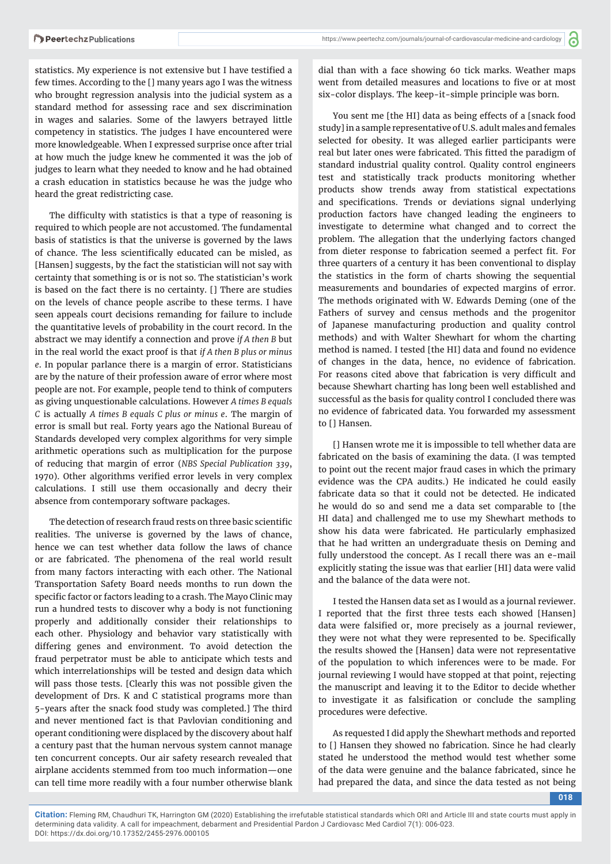statistics. My experience is not extensive but I have testified a few times. According to the [] many years ago I was the witness who brought regression analysis into the judicial system as a standard method for assessing race and sex discrimination in wages and salaries. Some of the lawyers betrayed little competency in statistics. The judges I have encountered were more knowledgeable. When I expressed surprise once after trial at how much the judge knew he commented it was the job of judges to learn what they needed to know and he had obtained a crash education in statistics because he was the judge who heard the great redistricting case.

The difficulty with statistics is that a type of reasoning is required to which people are not accustomed. The fundamental basis of statistics is that the universe is governed by the laws of chance. The less scientifically educated can be misled, as [Hansen] suggests, by the fact the statistician will not say with certainty that something is or is not so. The statistician's work is based on the fact there is no certainty. [] There are studies on the levels of chance people ascribe to these terms. I have seen appeals court decisions remanding for failure to include the quantitative levels of probability in the court record. In the abstract we may identify a connection and prove *if A then B* but in the real world the exact proof is that *if A then B plus or minus e*. In popular parlance there is a margin of error. Statisticians are by the nature of their profession aware of error where most people are not. For example, people tend to think of computers as giving unquestionable calculations. However *A times B equals C* is actually *A times B equals C plus or minus e*. The margin of error is small but real. Forty years ago the National Bureau of Standards developed very complex algorithms for very simple arithmetic operations such as multiplication for the purpose of reducing that margin of error (*NBS Special Publication 339*, 1970). Other algorithms verified error levels in very complex calculations. I still use them occasionally and decry their absence from contemporary software packages.

The detection of research fraud rests on three basic scientific realities. The universe is governed by the laws of chance, hence we can test whether data follow the laws of chance or are fabricated. The phenomena of the real world result from many factors interacting with each other. The National Transportation Safety Board needs months to run down the specific factor or factors leading to a crash. The Mayo Clinic may run a hundred tests to discover why a body is not functioning properly and additionally consider their relationships to each other. Physiology and behavior vary statistically with differing genes and environment. To avoid detection the fraud perpetrator must be able to anticipate which tests and which interrelationships will be tested and design data which will pass those tests. [Clearly this was not possible given the development of Drs. K and C statistical programs more than 5-years after the snack food study was completed.] The third and never mentioned fact is that Pavlovian conditioning and operant conditioning were displaced by the discovery about half a century past that the human nervous system cannot manage ten concurrent concepts. Our air safety research revealed that airplane accidents stemmed from too much information—one can tell time more readily with a four number otherwise blank dial than with a face showing 60 tick marks. Weather maps went from detailed measures and locations to five or at most six-color displays. The keep-it-simple principle was born.

You sent me [the HI] data as being effects of a [snack food study] in a sample representative of U.S. adult males and females selected for obesity. It was alleged earlier participants were real but later ones were fabricated. This fitted the paradigm of standard industrial quality control. Quality control engineers test and statistically track products monitoring whether products show trends away from statistical expectations and specifications. Trends or deviations signal underlying production factors have changed leading the engineers to investigate to determine what changed and to correct the problem. The allegation that the underlying factors changed from dieter response to fabrication seemed a perfect fit. For three quarters of a century it has been conventional to display the statistics in the form of charts showing the sequential measurements and boundaries of expected margins of error. The methods originated with W. Edwards Deming (one of the Fathers of survey and census methods and the progenitor of Japanese manufacturing production and quality control methods) and with Walter Shewhart for whom the charting method is named. I tested [the HI] data and found no evidence of changes in the data, hence, no evidence of fabrication. For reasons cited above that fabrication is very difficult and because Shewhart charting has long been well established and successful as the basis for quality control I concluded there was no evidence of fabricated data. You forwarded my assessment to [] Hansen.

[] Hansen wrote me it is impossible to tell whether data are fabricated on the basis of examining the data. (I was tempted to point out the recent major fraud cases in which the primary evidence was the CPA audits.) He indicated he could easily fabricate data so that it could not be detected. He indicated he would do so and send me a data set comparable to [the HI data] and challenged me to use my Shewhart methods to show his data were fabricated. He particularly emphasized that he had written an undergraduate thesis on Deming and fully understood the concept. As I recall there was an e-mail explicitly stating the issue was that earlier [HI] data were valid and the balance of the data were not.

I tested the Hansen data set as I would as a journal reviewer. I reported that the first three tests each showed [Hansen] data were falsified or, more precisely as a journal reviewer, they were not what they were represented to be. Specifically the results showed the [Hansen] data were not representative of the population to which inferences were to be made. For journal reviewing I would have stopped at that point, rejecting the manuscript and leaving it to the Editor to decide whether to investigate it as falsification or conclude the sampling procedures were defective.

As requested I did apply the Shewhart methods and reported to [] Hansen they showed no fabrication. Since he had clearly stated he understood the method would test whether some of the data were genuine and the balance fabricated, since he had prepared the data, and since the data tested as not being

**018**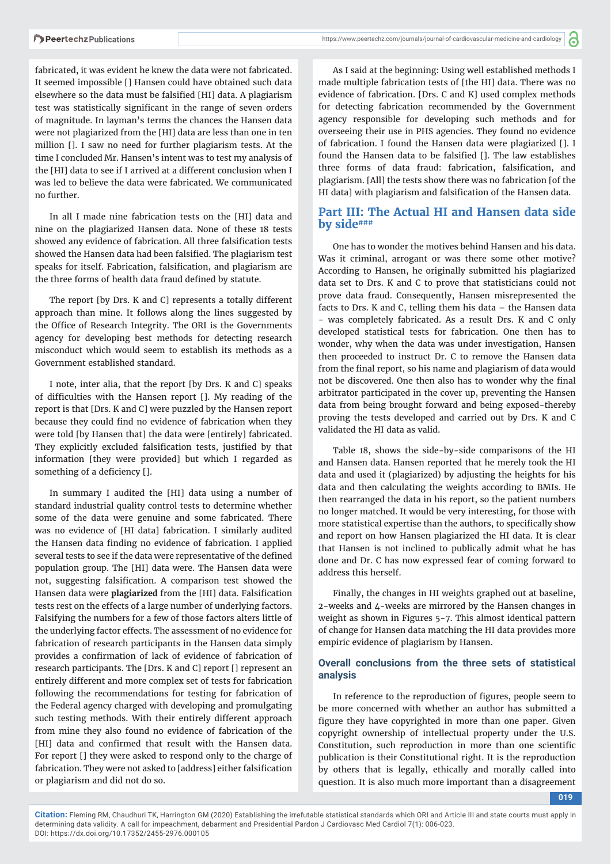fabricated, it was evident he knew the data were not fabricated. It seemed impossible [] Hansen could have obtained such data elsewhere so the data must be falsified [HI] data. A plagiarism test was statistically significant in the range of seven orders of magnitude. In layman's terms the chances the Hansen data were not plagiarized from the [HI] data are less than one in ten million []. I saw no need for further plagiarism tests. At the time I concluded Mr. Hansen's intent was to test my analysis of the [HI] data to see if I arrived at a different conclusion when I was led to believe the data were fabricated. We communicated no further.

In all I made nine fabrication tests on the [HI] data and nine on the plagiarized Hansen data. None of these 18 tests showed any evidence of fabrication. All three falsification tests showed the Hansen data had been falsified. The plagiarism test speaks for itself. Fabrication, falsification, and plagiarism are the three forms of health data fraud defined by statute.

The report [by Drs. K and C] represents a totally different approach than mine. It follows along the lines suggested by the Office of Research Integrity. The ORI is the Governments agency for developing best methods for detecting research misconduct which would seem to establish its methods as a Government established standard.

I note, inter alia, that the report [by Drs. K and C] speaks of difficulties with the Hansen report []. My reading of the report is that [Drs. K and C] were puzzled by the Hansen report because they could find no evidence of fabrication when they were told [by Hansen that] the data were [entirely] fabricated. They explicitly excluded falsification tests, justified by that information [they were provided] but which I regarded as something of a deficiency [].

In summary I audited the [HI] data using a number of standard industrial quality control tests to determine whether some of the data were genuine and some fabricated. There was no evidence of [HI data] fabrication. I similarly audited the Hansen data finding no evidence of fabrication. I applied several tests to see if the data were representative of the defined population group. The [HI] data were. The Hansen data were not, suggesting falsification. A comparison test showed the Hansen data were plagiarized from the [HI] data. Falsification tests rest on the effects of a large number of underlying factors. Falsifying the numbers for a few of those factors alters little of the underlying factor effects. The assessment of no evidence for fabrication of research participants in the Hansen data simply provides a confirmation of lack of evidence of fabrication of research participants. The [Drs. K and C] report [] represent an entirely different and more complex set of tests for fabrication following the recommendations for testing for fabrication of the Federal agency charged with developing and promulgating such testing methods. With their entirely different approach from mine they also found no evidence of fabrication of the [HI] data and confirmed that result with the Hansen data. For report [] they were asked to respond only to the charge of fabrication. They were not asked to [address] either falsification or plagiarism and did not do so.

As I said at the beginning: Using well established methods I made multiple fabrication tests of [the HI] data. There was no evidence of fabrication. [Drs. C and K] used complex methods for detecting fabrication recommended by the Government agency responsible for developing such methods and for overseeing their use in PHS agencies. They found no evidence of fabrication. I found the Hansen data were plagiarized []. I found the Hansen data to be falsified []. The law establishes three forms of data fraud: fabrication, falsification, and plagiarism. [All] the tests show there was no fabrication [of the HI data] with plagiarism and falsification of the Hansen data.

## **Part III: The Actual HI and Hansen data side by side###**

One has to wonder the motives behind Hansen and his data. Was it criminal, arrogant or was there some other motive? According to Hansen, he originally submitted his plagiarized data set to Drs. K and C to prove that statisticians could not prove data fraud. Consequently, Hansen misrepresented the facts to Drs. K and C, telling them his data – the Hansen data - was completely fabricated. As a result Drs. K and C only developed statistical tests for fabrication. One then has to wonder, why when the data was under investigation, Hansen then proceeded to instruct Dr. C to remove the Hansen data from the final report, so his name and plagiarism of data would not be discovered. One then also has to wonder why the final arbitrator participated in the cover up, preventing the Hansen data from being brought forward and being exposed-thereby proving the tests developed and carried out by Drs. K and C validated the HI data as valid.

Table 18, shows the side-by-side comparisons of the HI and Hansen data. Hansen reported that he merely took the HI data and used it (plagiarized) by adjusting the heights for his data and then calculating the weights according to BMIs. He then rearranged the data in his report, so the patient numbers no longer matched. It would be very interesting, for those with more statistical expertise than the authors, to specifically show and report on how Hansen plagiarized the HI data. It is clear that Hansen is not inclined to publically admit what he has done and Dr. C has now expressed fear of coming forward to address this herself.

Finally, the changes in HI weights graphed out at baseline, 2-weeks and 4-weeks are mirrored by the Hansen changes in weight as shown in Figures 5-7. This almost identical pattern of change for Hansen data matching the HI data provides more empiric evidence of plagiarism by Hansen.

#### **Overall conclusions from the three sets of statistical analysis**

In reference to the reproduction of figures, people seem to be more concerned with whether an author has submitted a figure they have copyrighted in more than one paper. Given copyright ownership of intellectual property under the U.S. Constitution, such reproduction in more than one scientific publication is their Constitutional right. It is the reproduction by others that is legally, ethically and morally called into question. It is also much more important than a disagreement

**019**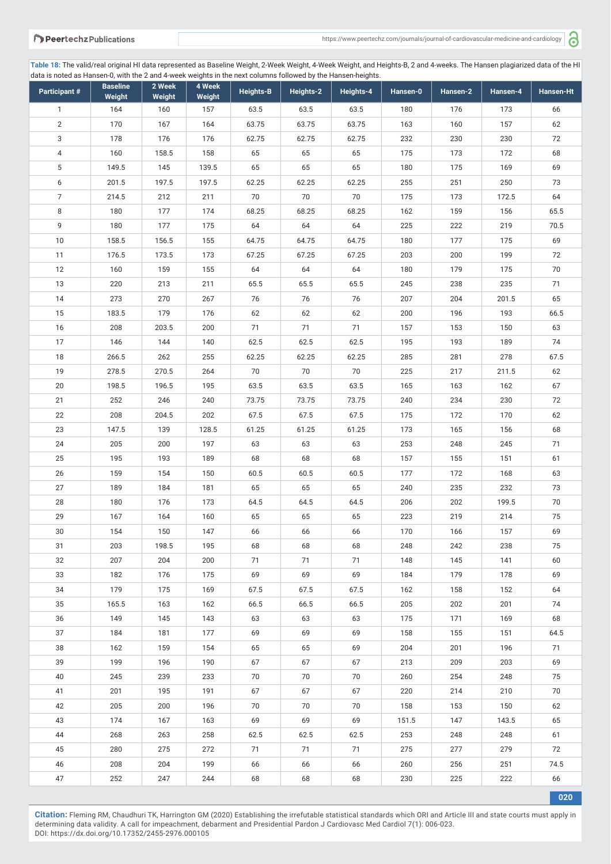a

**Table 18:** The valid/real original HI data represented as Baseline Weight, 2-Week Weight, 4-Week Weight, and Heights-B, 2 and 4-weeks. The Hansen plagiarized data of the HI data is noted as Hansen-0, with the 2 and 4-week weights in the next columns followed by the Hansen-heights.

| Participant #    | <b>Baseline</b><br>Weight | 2 Week<br>Weight | 4 Week<br>Weight | <b>Heights-B</b> | Heights-2 | Heights-4 | Hansen-0 | Hansen-2 | Hansen-4 | Hansen-Ht |
|------------------|---------------------------|------------------|------------------|------------------|-----------|-----------|----------|----------|----------|-----------|
| $\mathbf{1}$     | 164                       | 160              | 157              | 63.5             | 63.5      | 63.5      | 180      | 176      | 173      | 66        |
| $\overline{2}$   | 170                       | 167              | 164              | 63.75            | 63.75     | 63.75     | 163      | 160      | 157      | 62        |
| 3                | 178                       | 176              | 176              | 62.75            | 62.75     | 62.75     | 232      | 230      | 230      | 72        |
| $\overline{4}$   | 160                       | 158.5            | 158              | 65               | 65        | 65        | 175      | 173      | 172      | 68        |
| 5                | 149.5                     | 145              | 139.5            | 65               | 65        | 65        | 180      | 175      | 169      | 69        |
| $\boldsymbol{6}$ | 201.5                     | 197.5            | 197.5            | 62.25            | 62.25     | 62.25     | 255      | 251      | 250      | 73        |
| $\overline{7}$   | 214.5                     | 212              | 211              | 70               | 70        | 70        | 175      | 173      | 172.5    | 64        |
| 8                | 180                       | 177              | 174              | 68.25            | 68.25     | 68.25     | 162      | 159      | 156      | 65.5      |
| 9                | 180                       | 177              | 175              | 64               | 64        | 64        | 225      | 222      | 219      | 70.5      |
| 10               | 158.5                     | 156.5            | 155              | 64.75            | 64.75     | 64.75     | 180      | 177      | 175      | 69        |
| 11               | 176.5                     | 173.5            | 173              | 67.25            | 67.25     | 67.25     | 203      | 200      | 199      | 72        |
| 12               | 160                       | 159              | 155              | 64               | 64        | 64        | 180      | 179      | 175      | 70        |
| 13               | 220                       | 213              | 211              | 65.5             | 65.5      | 65.5      | 245      | 238      | 235      | 71        |
| 14               | 273                       | 270              | 267              | 76               | 76        | 76        | 207      | 204      | 201.5    | 65        |
| 15               | 183.5                     | 179              | 176              | 62               | 62        | 62        | 200      | 196      | 193      | 66.5      |
| 16               | 208                       | 203.5            | 200              | 71               | 71        | 71        | 157      | 153      | 150      | 63        |
| 17               | 146                       | 144              | 140              | 62.5             | 62.5      | 62.5      | 195      | 193      | 189      | 74        |
| 18               | 266.5                     | 262              | 255              | 62.25            | 62.25     | 62.25     | 285      | 281      | 278      | 67.5      |
| 19               | 278.5                     | 270.5            | 264              | 70               | 70        | 70        | 225      | 217      | 211.5    | 62        |
| 20               | 198.5                     | 196.5            | 195              | 63.5             | 63.5      | 63.5      | 165      | 163      | 162      | 67        |
| 21               | 252                       | 246              | 240              | 73.75            | 73.75     | 73.75     | 240      | 234      | 230      | 72        |
| 22               | 208                       | 204.5            | 202              | 67.5             | 67.5      | 67.5      | 175      | 172      | 170      | 62        |
| 23               | 147.5                     | 139              | 128.5            | 61.25            | 61.25     | 61.25     | 173      | 165      | 156      | 68        |
| 24               | 205                       | 200              | 197              | 63               | 63        | 63        | 253      | 248      | 245      | 71        |
| 25               | 195                       | 193              | 189              | 68               | 68        | 68        | 157      | 155      | 151      | 61        |
| 26               | 159                       | 154              | 150              | 60.5             | 60.5      | 60.5      | 177      | 172      | 168      | 63        |
| 27               | 189                       | 184              | 181              | 65               | 65        | 65        | 240      | 235      | 232      | 73        |
| 28               | 180                       | 176              | 173              | 64.5             | 64.5      | 64.5      | 206      | 202      | 199.5    | 70        |
| 29               | 167                       | 164              | 160              | 65               | 65        | 65        | 223      | 219      | 214      | 75        |
| $30\,$           | 154                       | 150              | 147              | 66               | 66        | 66        | 170      | 166      | 157      | 69        |
| 31               | 203                       | 198.5            | 195              | 68               | 68        | 68        | 248      | 242      | 238      | 75        |
| 32               | 207                       | 204              | 200              | 71               | 71        | 71        | 148      | 145      | 141      | 60        |
| 33               | 182                       | 176              | 175              | 69               | 69        | 69        | 184      | 179      | 178      | 69        |
| 34               | 179                       | 175              | 169              | 67.5             | 67.5      | 67.5      | 162      | 158      | 152      | 64        |
| 35               | 165.5                     | 163              | 162              | 66.5             | 66.5      | 66.5      | 205      | 202      | 201      | 74        |
| 36               | 149                       | 145              | 143              | 63               | 63        | 63        | 175      | 171      | 169      | 68        |
| 37               | 184                       | 181              | 177              | 69               | 69        | 69        | 158      | 155      | 151      | 64.5      |
| 38               | 162                       | 159              | 154              | 65               | 65        | 69        | 204      | 201      | 196      | 71        |
| 39               | 199                       | 196              | 190              | 67               | 67        | 67        | 213      | 209      | 203      | 69        |
| 40               | 245                       | 239              | 233              | 70               | 70        | 70        | 260      | 254      | 248      | 75        |
| 41               | 201                       | 195              | 191              | 67               | 67        | 67        | 220      | 214      | 210      | 70        |
| 42               | 205                       | 200              | 196              | 70               | 70        | 70        | 158      | 153      | 150      | 62        |
| 43               | 174                       | 167              | 163              | 69               | 69        | 69        | 151.5    | 147      | 143.5    | 65        |
| 44               | 268                       | 263              | 258              | 62.5             | 62.5      | 62.5      | 253      | 248      | 248      | 61        |
| 45               | 280                       | 275              | 272              | 71               | 71        | 71        | 275      | 277      | 279      | 72        |
| 46               | 208                       | 204              | 199              | 66               | 66        | 66        | 260      | 256      | 251      | 74.5      |
| 47               | 252                       | 247              | 244              | 68               | 68        | 68        | 230      | 225      | 222      | 66        |

**Citation:** Fleming RM, Chaudhuri TK, Harrington GM (2020) Establishing the irrefutable statistical standards which ORI and Article III and state courts must apply in determining data validity. A call for impeachment, debarment and Presidential Pardon J Cardiovasc Med Cardiol 7(1): 006-023. DOI: https://dx.doi.org/10.17352/2455-2976.000105

**020**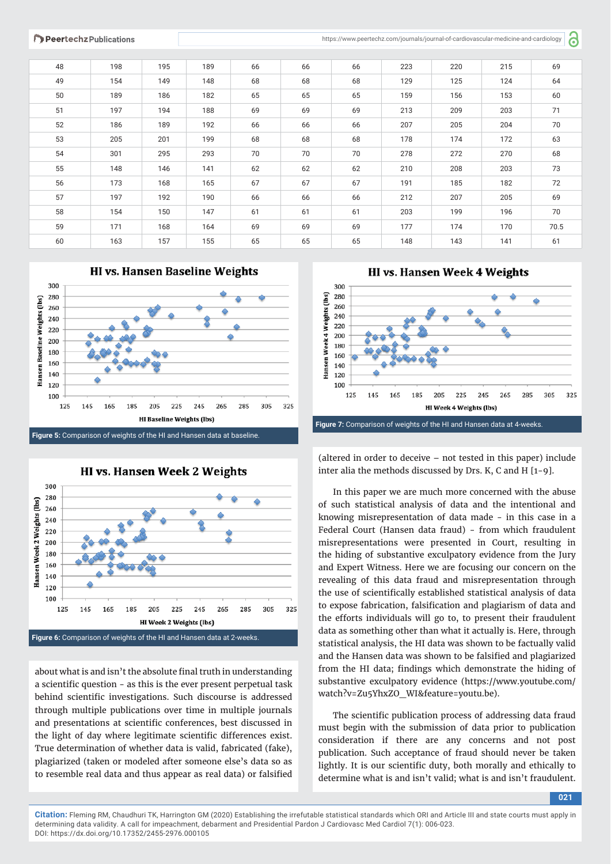**P** 

| 48 | 198 | 195 | 189 | 66 | 66 | 66 | 223 | 220 | 215 | 69   |
|----|-----|-----|-----|----|----|----|-----|-----|-----|------|
| 49 | 154 | 149 | 148 | 68 | 68 | 68 | 129 | 125 | 124 | 64   |
| 50 | 189 | 186 | 182 | 65 | 65 | 65 | 159 | 156 | 153 | 60   |
| 51 | 197 | 194 | 188 | 69 | 69 | 69 | 213 | 209 | 203 | 71   |
| 52 | 186 | 189 | 192 | 66 | 66 | 66 | 207 | 205 | 204 | 70   |
| 53 | 205 | 201 | 199 | 68 | 68 | 68 | 178 | 174 | 172 | 63   |
| 54 | 301 | 295 | 293 | 70 | 70 | 70 | 278 | 272 | 270 | 68   |
| 55 | 148 | 146 | 141 | 62 | 62 | 62 | 210 | 208 | 203 | 73   |
| 56 | 173 | 168 | 165 | 67 | 67 | 67 | 191 | 185 | 182 | 72   |
| 57 | 197 | 192 | 190 | 66 | 66 | 66 | 212 | 207 | 205 | 69   |
| 58 | 154 | 150 | 147 | 61 | 61 | 61 | 203 | 199 | 196 | 70   |
| 59 | 171 | 168 | 164 | 69 | 69 | 69 | 177 | 174 | 170 | 70.5 |
| 60 | 163 | 157 | 155 | 65 | 65 | 65 | 148 | 143 | 141 | 61   |





about what is and isn't the absolute final truth in understanding a scientific question - as this is the ever present perpetual task behind scientific investigations. Such discourse is addressed through multiple publications over time in multiple journals and presentations at scientific conferences, best discussed in the light of day where legitimate scientific differences exist. True determination of whether data is valid, fabricated (fake), plagiarized (taken or modeled after someone else's data so as to resemble real data and thus appear as real data) or falsified

**HI vs. Hansen Week 4 Weights** 



(altered in order to deceive – not tested in this paper) include inter alia the methods discussed by Drs. K, C and H [1-9].

In this paper we are much more concerned with the abuse of such statistical analysis of data and the intentional and knowing misrepresentation of data made - in this case in a Federal Court (Hansen data fraud) - from which fraudulent misrepresentations were presented in Court, resulting in the hiding of substantive exculpatory evidence from the Jury and Expert Witness. Here we are focusing our concern on the revealing of this data fraud and misrepresentation through the use of scientifically established statistical analysis of data to expose fabrication, falsification and plagiarism of data and the efforts individuals will go to, to present their fraudulent data as something other than what it actually is. Here, through statistical analysis, the HI data was shown to be factually valid and the Hansen data was shown to be falsified and plagiarized from the HI data; findings which demonstrate the hiding of substantive exculpatory evidence (https://www.youtube.com/ watch?v=Zu5YhxZO\_WI&feature=youtu.be).

The scientific publication process of addressing data fraud must begin with the submission of data prior to publication consideration if there are any concerns and not post publication. Such acceptance of fraud should never be taken lightly. It is our scientific duty, both morally and ethically to determine what is and isn't valid; what is and isn't fraudulent.

**021**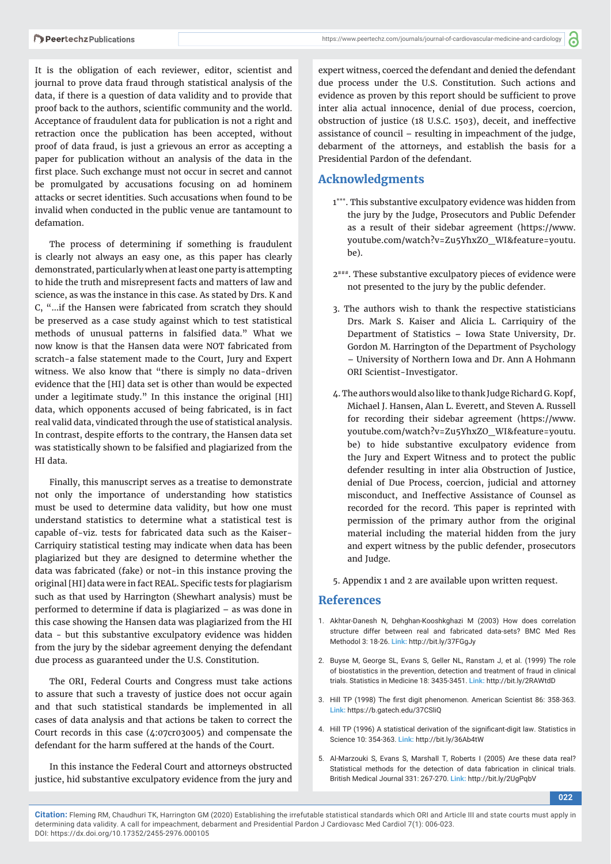It is the obligation of each reviewer, editor, scientist and journal to prove data fraud through statistical analysis of the data, if there is a question of data validity and to provide that proof back to the authors, scientific community and the world. Acceptance of fraudulent data for publication is not a right and retraction once the publication has been accepted, without proof of data fraud, is just a grievous an error as accepting a paper for publication without an analysis of the data in the first place. Such exchange must not occur in secret and cannot be promulgated by accusations focusing on ad hominem attacks or secret identities. Such accusations when found to be invalid when conducted in the public venue are tantamount to defamation.

The process of determining if something is fraudulent is clearly not always an easy one, as this paper has clearly demonstrated, particularly when at least one party is attempting to hide the truth and misrepresent facts and matters of law and science, as was the instance in this case. As stated by Drs. K and C, "…if the Hansen were fabricated from scratch they should be preserved as a case study against which to test statistical methods of unusual patterns in falsified data." What we now know is that the Hansen data were NOT fabricated from scratch-a false statement made to the Court, Jury and Expert witness. We also know that "there is simply no data-driven evidence that the [HI] data set is other than would be expected under a legitimate study." In this instance the original [HI] data, which opponents accused of being fabricated, is in fact real valid data, vindicated through the use of statistical analysis. In contrast, despite efforts to the contrary, the Hansen data set was statistically shown to be falsified and plagiarized from the HI data.

Finally, this manuscript serves as a treatise to demonstrate not only the importance of understanding how statistics must be used to determine data validity, but how one must understand statistics to determine what a statistical test is capable of-viz. tests for fabricated data such as the Kaiser-Carriquiry statistical testing may indicate when data has been plagiarized but they are designed to determine whether the data was fabricated (fake) or not-in this instance proving the original [HI] data were in fact REAL. Specific tests for plagiarism such as that used by Harrington (Shewhart analysis) must be performed to determine if data is plagiarized – as was done in this case showing the Hansen data was plagiarized from the HI data - but this substantive exculpatory evidence was hidden from the jury by the sidebar agreement denying the defendant due process as guaranteed under the U.S. Constitution.

The ORI, Federal Courts and Congress must take actions to assure that such a travesty of justice does not occur again and that such statistical standards be implemented in all cases of data analysis and that actions be taken to correct the Court records in this case (4:07cr03005) and compensate the defendant for the harm suffered at the hands of the Court.

In this instance the Federal Court and attorneys obstructed justice, hid substantive exculpatory evidence from the jury and expert witness, coerced the defendant and denied the defendant due process under the U.S. Constitution. Such actions and evidence as proven by this report should be sufficient to prove inter alia actual innocence, denial of due process, coercion, obstruction of justice (18 U.S.C. 1503), deceit, and ineffective assistance of council – resulting in impeachment of the judge, debarment of the attorneys, and establish the basis for a Presidential Pardon of the defendant.

# **Acknowledgments**

- 1\*\*\*. This substantive exculpatory evidence was hidden from the jury by the Judge, Prosecutors and Public Defender as a result of their sidebar agreement (https://www. youtube.com/watch?v=Zu5YhxZO\_WI&feature=youtu. be).
- 2###. These substantive exculpatory pieces of evidence were not presented to the jury by the public defender.
- 3. The authors wish to thank the respective statisticians Drs. Mark S. Kaiser and Alicia L. Carriquiry of the Department of Statistics – Iowa State University, Dr. Gordon M. Harrington of the Department of Psychology – University of Northern Iowa and Dr. Ann A Hohmann ORI Scientist-Investigator.
- 4. The authors would also like to thank Judge Richard G. Kopf, Michael J. Hansen, Alan L. Everett, and Steven A. Russell for recording their sidebar agreement (https://www. youtube.com/watch?v=Zu5YhxZO\_WI&feature=youtu. be) to hide substantive exculpatory evidence from the Jury and Expert Witness and to protect the public defender resulting in inter alia Obstruction of Justice, denial of Due Process, coercion, judicial and attorney misconduct, and Ineffective Assistance of Counsel as recorded for the record. This paper is reprinted with permission of the primary author from the original material including the material hidden from the jury and expert witness by the public defender, prosecutors and Judge.
- 5. Appendix 1 and 2 are available upon written request.

# **References**

- 1. Akhtar-Danesh N, Dehghan-Kooshkghazi M (2003) How does correlation structure differ between real and fabricated data-sets? BMC Med Res Methodol 3: 18-26. **Link:** http://bit.ly/37FGgJy
- 2. Buyse M, George SL, Evans S, Geller NL, Ranstam J, et al. (1999) The role of biostatistics in the prevention, detection and treatment of fraud in clinical trials. Statistics in Medicine 18: 3435-3451. **Link:** http://bit.ly/2RAWtdD
- 3. Hill TP (1998) The first digit phenomenon. American Scientist 86: 358-363. **Link:** https://b.gatech.edu/37CSliQ
- 4. Hill TP (1996) A statistical derivation of the significant-digit law. Statistics in Science 10: 354-363. **Link:** http://bit.ly/36Ab4tW
- 5. Al-Marzouki S, Evans S, Marshall T, Roberts I (2005) Are these data real? Statistical methods for the detection of data fabrication in clinical trials. British Medical Journal 331: 267-270. **Link:** http://bit.ly/2UgPqbV

**022**